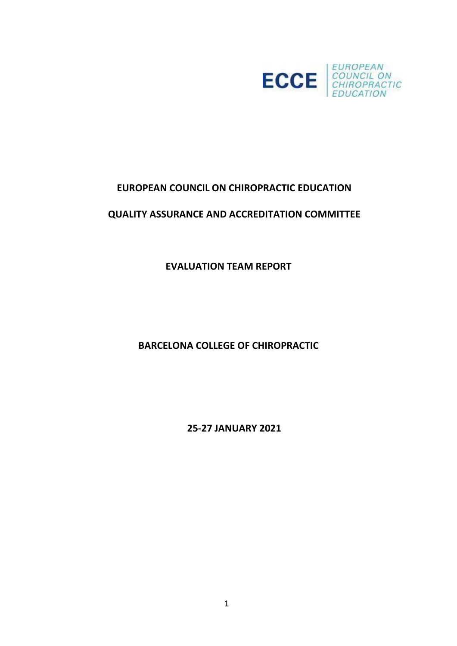

# **EUROPEAN COUNCIL ON CHIROPRACTIC EDUCATION**

# **QUALITY ASSURANCE AND ACCREDITATION COMMITTEE**

**EVALUATION TEAM REPORT**

**BARCELONA COLLEGE OF CHIROPRACTIC**

**25-27 JANUARY 2021**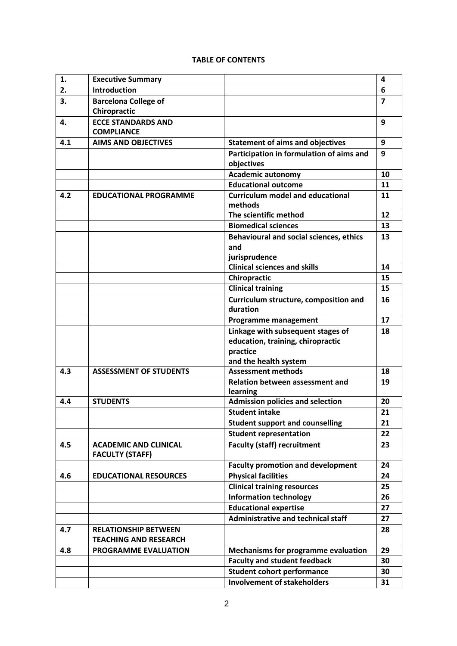### **TABLE OF CONTENTS**

| $\mathbf{1}$ . | <b>Executive Summary</b>                                    |                                                                                    | 4                       |
|----------------|-------------------------------------------------------------|------------------------------------------------------------------------------------|-------------------------|
| 2.             | <b>Introduction</b>                                         |                                                                                    | 6                       |
| 3.             | <b>Barcelona College of</b><br>Chiropractic                 |                                                                                    | $\overline{\mathbf{z}}$ |
| 4.             | <b>ECCE STANDARDS AND</b><br><b>COMPLIANCE</b>              |                                                                                    | 9                       |
| 4.1            | <b>AIMS AND OBJECTIVES</b>                                  | <b>Statement of aims and objectives</b>                                            | 9                       |
|                |                                                             | Participation in formulation of aims and<br>objectives                             | 9                       |
|                |                                                             | <b>Academic autonomy</b>                                                           | 10                      |
|                |                                                             | <b>Educational outcome</b>                                                         | 11                      |
| 4.2            | <b>EDUCATIONAL PROGRAMME</b>                                | <b>Curriculum model and educational</b><br>methods                                 | 11                      |
|                |                                                             | The scientific method                                                              | 12                      |
|                |                                                             | <b>Biomedical sciences</b>                                                         | 13                      |
|                |                                                             | <b>Behavioural and social sciences, ethics</b><br>and<br>jurisprudence             | 13                      |
|                |                                                             | <b>Clinical sciences and skills</b>                                                | 14                      |
|                |                                                             | Chiropractic                                                                       | 15                      |
|                |                                                             | <b>Clinical training</b>                                                           | 15                      |
|                |                                                             | Curriculum structure, composition and<br>duration                                  | 16                      |
|                |                                                             | <b>Programme management</b>                                                        | 17                      |
|                |                                                             | Linkage with subsequent stages of<br>education, training, chiropractic<br>practice | 18                      |
|                |                                                             | and the health system                                                              |                         |
| 4.3            | <b>ASSESSMENT OF STUDENTS</b>                               | <b>Assessment methods</b>                                                          | 18                      |
|                |                                                             | Relation between assessment and<br>learning                                        | 19                      |
| 4.4            | <b>STUDENTS</b>                                             | <b>Admission policies and selection</b>                                            | 20                      |
|                |                                                             | <b>Student intake</b>                                                              | 21                      |
|                |                                                             | <b>Student support and counselling</b>                                             | 21                      |
|                |                                                             | <b>Student representation</b>                                                      | 22                      |
| 4.5            | <b>ACADEMIC AND CLINICAL</b><br><b>FACULTY (STAFF)</b>      | <b>Faculty (staff) recruitment</b>                                                 | 23                      |
|                |                                                             | <b>Faculty promotion and development</b>                                           | 24                      |
| 4.6            | <b>EDUCATIONAL RESOURCES</b>                                | <b>Physical facilities</b>                                                         | 24                      |
|                |                                                             | <b>Clinical training resources</b>                                                 | 25                      |
|                |                                                             | <b>Information technology</b>                                                      | 26                      |
|                |                                                             | <b>Educational expertise</b>                                                       | 27                      |
|                |                                                             | <b>Administrative and technical staff</b>                                          | 27                      |
| 4.7            | <b>RELATIONSHIP BETWEEN</b><br><b>TEACHING AND RESEARCH</b> |                                                                                    | 28                      |
| 4.8            | PROGRAMME EVALUATION                                        | <b>Mechanisms for programme evaluation</b>                                         | 29                      |
|                |                                                             | <b>Faculty and student feedback</b>                                                | 30                      |
|                |                                                             | <b>Student cohort performance</b>                                                  | 30                      |
|                |                                                             | <b>Involvement of stakeholders</b>                                                 | 31                      |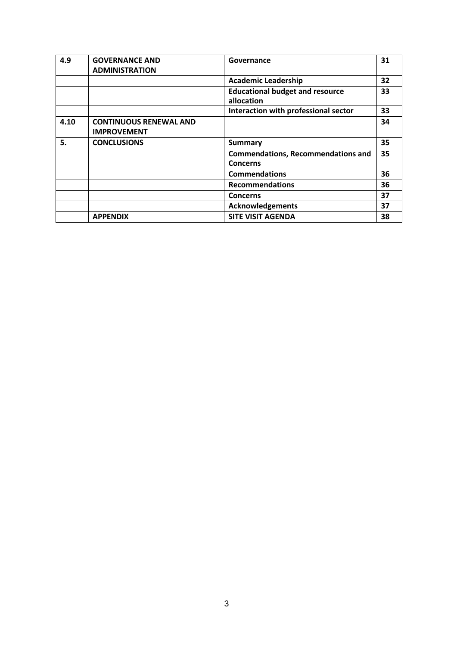| 4.9  | <b>GOVERNANCE AND</b><br><b>ADMINISTRATION</b>      | Governance                                                   | 31 |
|------|-----------------------------------------------------|--------------------------------------------------------------|----|
|      |                                                     | <b>Academic Leadership</b>                                   | 32 |
|      |                                                     | <b>Educational budget and resource</b><br>allocation         | 33 |
|      |                                                     | Interaction with professional sector                         | 33 |
| 4.10 | <b>CONTINUOUS RENEWAL AND</b><br><b>IMPROVEMENT</b> |                                                              | 34 |
| 5.   | <b>CONCLUSIONS</b>                                  | <b>Summary</b>                                               | 35 |
|      |                                                     | <b>Commendations, Recommendations and</b><br><b>Concerns</b> | 35 |
|      |                                                     | <b>Commendations</b>                                         | 36 |
|      |                                                     | <b>Recommendations</b>                                       | 36 |
|      |                                                     | <b>Concerns</b>                                              | 37 |
|      |                                                     | <b>Acknowledgements</b>                                      | 37 |
|      | <b>APPENDIX</b>                                     | <b>SITE VISIT AGENDA</b>                                     | 38 |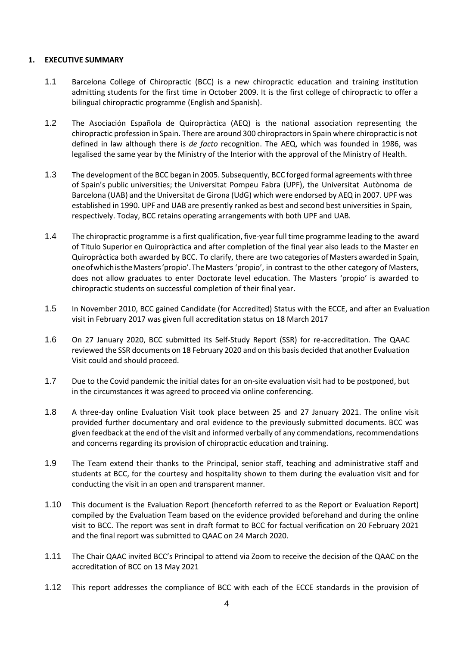### **1. EXECUTIVE SUMMARY**

- 1.1 Barcelona College of Chiropractic (BCC) is a new chiropractic education and training institution admitting students for the first time in October 2009. It is the first college of chiropractic to offer a bilingual chiropractic programme (English and Spanish).
- 1.2 The Asociación Española de Quiropràctica (AEQ) is the national association representing the chiropractic profession in Spain. There are around 300 chiropractors in Spain where chiropractic is not defined in law although there is *de facto* recognition. The AEQ, which was founded in 1986, was legalised the same year by the Ministry of the Interior with the approval of the Ministry of Health.
- 1.3 The development of the BCC began in 2005. Subsequently, BCC forged formal agreements withthree of Spain's public universities; the Universitat Pompeu Fabra (UPF), the Universitat Autònoma de Barcelona (UAB) and the Universitat de Girona (UdG) which were endorsed by AEQ in 2007. UPF was established in 1990. UPF and UAB are presently ranked as best and second best universities in Spain, respectively. Today, BCC retains operating arrangements with both UPF and UAB.
- 1.4 The chiropractic programme is a first qualification, five-year full time programme leading to the award of Titulo Superior en Quiropràctica and after completion of the final year also leads to the Master en Quiropràctica both awarded by BCC. To clarify, there are two categories of Masters awarded in Spain, oneofwhichistheMasters'propio'.TheMasters 'propio', in contrast to the other category of Masters, does not allow graduates to enter Doctorate level education. The Masters 'propio' is awarded to chiropractic students on successful completion of their final year.
- 1.5 In November 2010, BCC gained Candidate (for Accredited) Status with the ECCE, and after an Evaluation visit in February 2017 was given full accreditation status on 18 March 2017
- 1.6 On 27 January 2020, BCC submitted its Self-Study Report (SSR) for re-accreditation. The QAAC reviewed the SSR documents on 18 February 2020 and on this basis decided that another Evaluation Visit could and should proceed.
- 1.7 Due to the Covid pandemic the initial dates for an on-site evaluation visit had to be postponed, but in the circumstances it was agreed to proceed via online conferencing.
- 1.8 A three-day online Evaluation Visit took place between 25 and 27 January 2021. The online visit provided further documentary and oral evidence to the previously submitted documents. BCC was given feedback at the end of the visit and informed verbally of any commendations, recommendations and concerns regarding its provision of chiropractic education and training.
- 1.9 The Team extend their thanks to the Principal, senior staff, teaching and administrative staff and students at BCC, for the courtesy and hospitality shown to them during the evaluation visit and for conducting the visit in an open and transparent manner.
- 1.10 This document is the Evaluation Report (henceforth referred to as the Report or Evaluation Report) compiled by the Evaluation Team based on the evidence provided beforehand and during the online visit to BCC. The report was sent in draft format to BCC for factual verification on 20 February 2021 and the final report was submitted to QAAC on 24 March 2020.
- 1.11 The Chair QAAC invited BCC's Principal to attend via Zoom to receive the decision of the QAAC on the accreditation of BCC on 13 May 2021
- 1.12 This report addresses the compliance of BCC with each of the ECCE standards in the provision of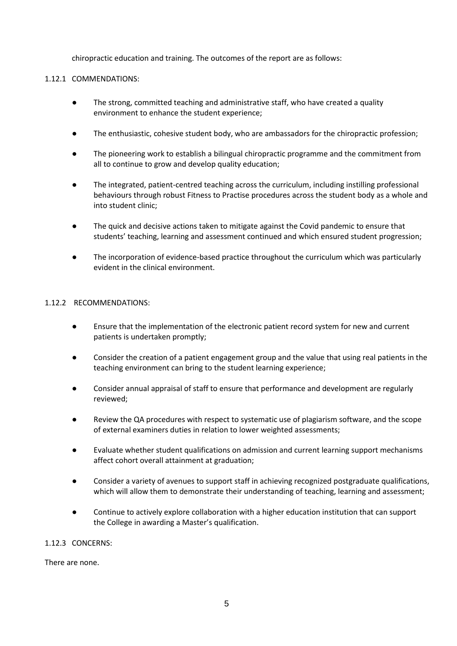chiropractic education and training. The outcomes of the report are as follows:

### 1.12.1 COMMENDATIONS:

- The strong, committed teaching and administrative staff, who have created a quality environment to enhance the student experience;
- The enthusiastic, cohesive student body, who are ambassadors for the chiropractic profession;
- The pioneering work to establish a bilingual chiropractic programme and the commitment from all to continue to grow and develop quality education;
- The integrated, patient-centred teaching across the curriculum, including instilling professional behaviours through robust Fitness to Practise procedures across the student body as a whole and into student clinic;
- The quick and decisive actions taken to mitigate against the Covid pandemic to ensure that students' teaching, learning and assessment continued and which ensured student progression;
- The incorporation of evidence-based practice throughout the curriculum which was particularly evident in the clinical environment.

### 1.12.2 RECOMMENDATIONS:

- Ensure that the implementation of the electronic patient record system for new and current patients is undertaken promptly;
- Consider the creation of a patient engagement group and the value that using real patients in the teaching environment can bring to the student learning experience;
- Consider annual appraisal of staff to ensure that performance and development are regularly reviewed;
- Review the QA procedures with respect to systematic use of plagiarism software, and the scope of external examiners duties in relation to lower weighted assessments;
- Evaluate whether student qualifications on admission and current learning support mechanisms affect cohort overall attainment at graduation;
- Consider a variety of avenues to support staff in achieving recognized postgraduate qualifications, which will allow them to demonstrate their understanding of teaching, learning and assessment;
- Continue to actively explore collaboration with a higher education institution that can support the College in awarding a Master's qualification.

## 1.12.3 CONCERNS:

There are none.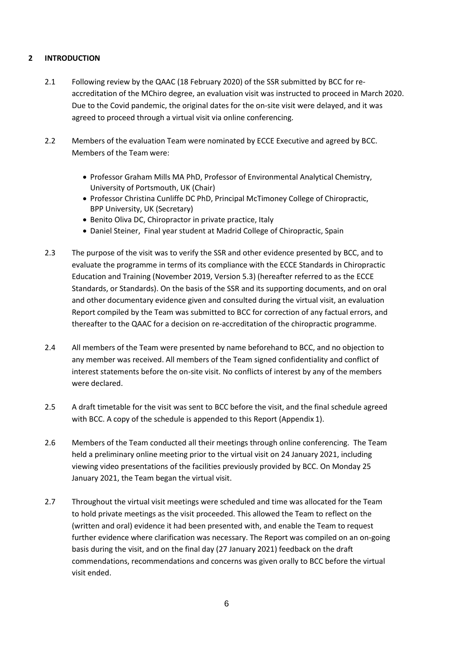## **2 INTRODUCTION**

- 2.1 Following review by the QAAC (18 February 2020) of the SSR submitted by BCC for reaccreditation of the MChiro degree, an evaluation visit was instructed to proceed in March 2020. Due to the Covid pandemic, the original dates for the on-site visit were delayed, and it was agreed to proceed through a virtual visit via online conferencing.
- 2.2 Members of the evaluation Team were nominated by ECCE Executive and agreed by BCC. Members of the Team were:
	- Professor Graham Mills MA PhD, Professor of Environmental Analytical Chemistry, University of Portsmouth, UK (Chair)
	- Professor Christina Cunliffe DC PhD, Principal McTimoney College of Chiropractic, BPP University, UK (Secretary)
	- Benito Oliva DC, Chiropractor in private practice, Italy
	- Daniel Steiner, Final year student at Madrid College of Chiropractic, Spain
- 2.3 The purpose of the visit was to verify the SSR and other evidence presented by BCC, and to evaluate the programme in terms of its compliance with the ECCE Standards in Chiropractic Education and Training (November 2019, Version 5.3) (hereafter referred to as the ECCE Standards, or Standards). On the basis of the SSR and its supporting documents, and on oral and other documentary evidence given and consulted during the virtual visit, an evaluation Report compiled by the Team was submitted to BCC for correction of any factual errors, and thereafter to the QAAC for a decision on re-accreditation of the chiropractic programme.
- 2.4 All members of the Team were presented by name beforehand to BCC, and no objection to any member was received. All members of the Team signed confidentiality and conflict of interest statements before the on-site visit. No conflicts of interest by any of the members were declared.
- 2.5 A draft timetable for the visit was sent to BCC before the visit, and the final schedule agreed with BCC. A copy of the schedule is appended to this Report (Appendix 1).
- 2.6 Members of the Team conducted all their meetings through online conferencing. The Team held a preliminary online meeting prior to the virtual visit on 24 January 2021, including viewing video presentations of the facilities previously provided by BCC. On Monday 25 January 2021, the Team began the virtual visit.
- 2.7 Throughout the virtual visit meetings were scheduled and time was allocated for the Team to hold private meetings as the visit proceeded. This allowed the Team to reflect on the (written and oral) evidence it had been presented with, and enable the Team to request further evidence where clarification was necessary. The Report was compiled on an on-going basis during the visit, and on the final day (27 January 2021) feedback on the draft commendations, recommendations and concerns was given orally to BCC before the virtual visit ended.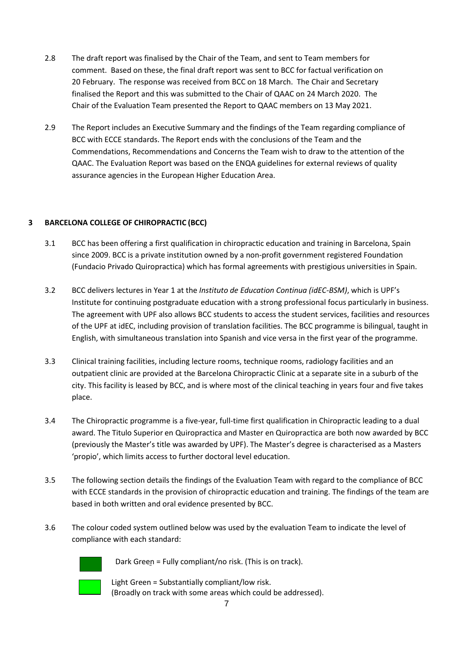- 2.8 The draft report was finalised by the Chair of the Team, and sent to Team members for comment. Based on these, the final draft report was sent to BCC for factual verification on 20 February. The response was received from BCC on 18 March. The Chair and Secretary finalised the Report and this was submitted to the Chair of QAAC on 24 March 2020. The Chair of the Evaluation Team presented the Report to QAAC members on 13 May 2021.
- 2.9 The Report includes an Executive Summary and the findings of the Team regarding compliance of BCC with ECCE standards. The Report ends with the conclusions of the Team and the Commendations, Recommendations and Concerns the Team wish to draw to the attention of the QAAC. The Evaluation Report was based on the ENQA guidelines for external reviews of quality assurance agencies in the European Higher Education Area.

## **3 BARCELONA COLLEGE OF CHIROPRACTIC (BCC)**

- 3.1 BCC has been offering a first qualification in chiropractic education and training in Barcelona, Spain since 2009. BCC is a private institution owned by a non-profit government registered Foundation (Fundacio Privado Quiropractica) which has formal agreements with prestigious universities in Spain.
- 3.2 BCC delivers lectures in Year 1 at the *Instituto de Education Continua (idEC-BSM)*, which is UPF's Institute for continuing postgraduate education with a strong professional focus particularly in business. The agreement with UPF also allows BCC students to access the student services, facilities and resources of the UPF at idEC, including provision of translation facilities. The BCC programme is bilingual, taught in English, with simultaneous translation into Spanish and vice versa in the first year of the programme.
- 3.3 Clinical training facilities, including lecture rooms, technique rooms, radiology facilities and an outpatient clinic are provided at the Barcelona Chiropractic Clinic at a separate site in a suburb of the city. This facility is leased by BCC, and is where most of the clinical teaching in years four and five takes place.
- 3.4 The Chiropractic programme is a five-year, full-time first qualification in Chiropractic leading to a dual award. The Titulo Superior en Quiropractica and Master en Quiropractica are both now awarded by BCC (previously the Master's title was awarded by UPF). The Master's degree is characterised as a Masters 'propio', which limits access to further doctoral level education.
- 3.5 The following section details the findings of the Evaluation Team with regard to the compliance of BCC with ECCE standards in the provision of chiropractic education and training. The findings of the team are based in both written and oral evidence presented by BCC.
- 3.6 The colour coded system outlined below was used by the evaluation Team to indicate the level of compliance with each standard:



Dark Green = Fully compliant/no risk. (This is on track).

Light Green = Substantially compliant/low risk. (Broadly on track with some areas which could be addressed).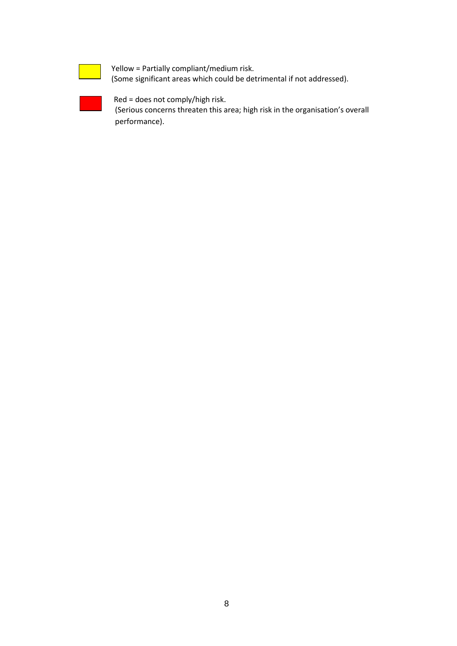Yellow = Partially compliant/medium risk. (Some significant areas which could be detrimental if not addressed).

Red = does not comply/high risk. (Serious concerns threaten this area; high risk in the organisation's overall performance).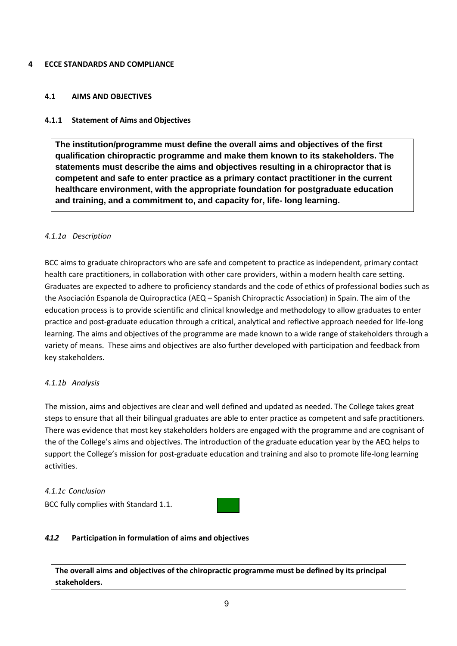### **4 ECCE STANDARDS AND COMPLIANCE**

### **4.1 AIMS AND OBJECTIVES**

## **4.1.1 Statement of Aims and Objectives**

**The institution/programme must define the overall aims and objectives of the first qualification chiropractic programme and make them known to its stakeholders. The statements must describe the aims and objectives resulting in a chiropractor that is competent and safe to enter practice as a primary contact practitioner in the current healthcare environment, with the appropriate foundation for postgraduate education and training, and a commitment to, and capacity for, life- long learning.**

### *4.1.1a Description*

BCC aims to graduate chiropractors who are safe and competent to practice as independent, primary contact health care practitioners, in collaboration with other care providers, within a modern health care setting. Graduates are expected to adhere to proficiency standards and the code of ethics of professional bodies such as the Asociación Espanola de Quiropractica (AEQ – Spanish Chiropractic Association) in Spain. The aim of the education process is to provide scientific and clinical knowledge and methodology to allow graduates to enter practice and post-graduate education through a critical, analytical and reflective approach needed for life-long learning. The aims and objectives of the programme are made known to a wide range of stakeholders through a variety of means. These aims and objectives are also further developed with participation and feedback from key stakeholders.

## *4.1.1b Analysis*

The mission, aims and objectives are clear and well defined and updated as needed. The College takes great steps to ensure that all their bilingual graduates are able to enter practice as competent and safe practitioners. There was evidence that most key stakeholders holders are engaged with the programme and are cognisant of the of the College's aims and objectives. The introduction of the graduate education year by the AEQ helps to support the College's mission for post-graduate education and training and also to promote life-long learning activities.

### *4.1.1c Conclusion*

BCC fully complies with Standard 1.1.



## *4.1.2* **Participation in formulation of aims and objectives**

**The overall aims and objectives of the chiropractic programme must be defined by its principal stakeholders.**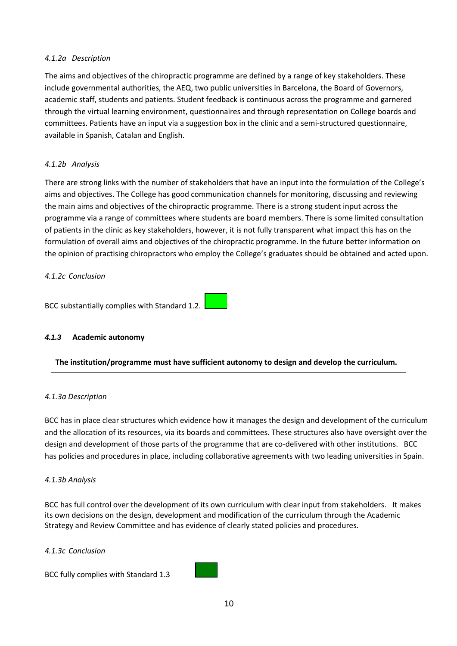### *4.1.2a Description*

The aims and objectives of the chiropractic programme are defined by a range of key stakeholders. These include governmental authorities, the AEQ, two public universities in Barcelona, the Board of Governors, academic staff, students and patients. Student feedback is continuous across the programme and garnered through the virtual learning environment, questionnaires and through representation on College boards and committees. Patients have an input via a suggestion box in the clinic and a semi-structured questionnaire, available in Spanish, Catalan and English.

## *4.1.2b Analysis*

There are strong links with the number of stakeholders that have an input into the formulation of the College's aims and objectives. The College has good communication channels for monitoring, discussing and reviewing the main aims and objectives of the chiropractic programme. There is a strong student input across the programme via a range of committees where students are board members. There is some limited consultation of patients in the clinic as key stakeholders, however, it is not fully transparent what impact this has on the formulation of overall aims and objectives of the chiropractic programme. In the future better information on the opinion of practising chiropractors who employ the College's graduates should be obtained and acted upon.

### *4.1.2c Conclusion*

BCC substantially complies with Standard 1.2.

### *4.1.3* **Academic autonomy**

**The institution/programme must have sufficient autonomy to design and develop the curriculum.**

### *4.1.3a Description*

BCC has in place clear structures which evidence how it manages the design and development of the curriculum and the allocation of its resources, via its boards and committees. These structures also have oversight over the design and development of those parts of the programme that are co-delivered with other institutions. BCC has policies and procedures in place, including collaborative agreements with two leading universities in Spain.

### *4.1.3b Analysis*

BCC has full control over the development of its own curriculum with clear input from stakeholders. It makes its own decisions on the design, development and modification of the curriculum through the Academic Strategy and Review Committee and has evidence of clearly stated policies and procedures.

*4.1.3c Conclusion*

BCC fully complies with Standard 1.3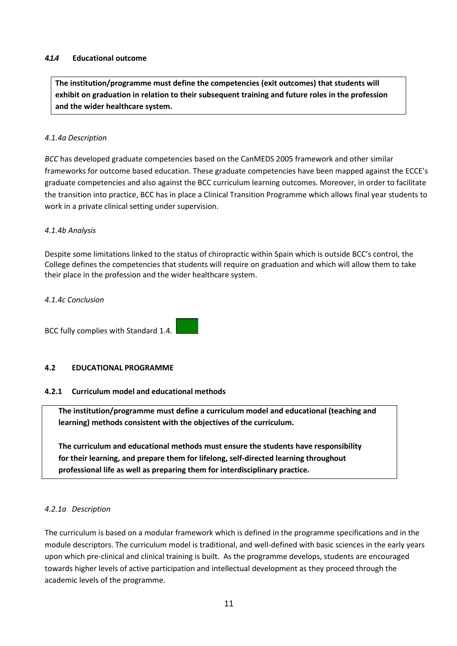### *4.1.4* **Educational outcome**

**The institution/programme must define the competencies (exit outcomes) that students will exhibit on graduation in relation to their subsequent training and future roles in the profession and the wider healthcare system.**

### *4.1.4a Description*

*BCC* has developed graduate competencies based on the CanMEDS 2005 framework and other similar frameworks for outcome based education. These graduate competencies have been mapped against the ECCE's graduate competencies and also against the BCC curriculum learning outcomes. Moreover, in order to facilitate the transition into practice, BCC has in place a Clinical Transition Programme which allows final year students to work in a private clinical setting under supervision.

### *4.1.4b Analysis*

Despite some limitations linked to the status of chiropractic within Spain which is outside BCC's control, the College defines the competencies that students will require on graduation and which will allow them to take their place in the profession and the wider healthcare system.

### *4.1.4c Conclusion*

BCC fully complies with Standard 1.4.

## **4.2 EDUCATIONAL PROGRAMME**

## **4.2.1 Curriculum model and educational methods**

**The institution/programme must define a curriculum model and educational (teaching and learning) methods consistent with the objectives of the curriculum.**

**The curriculum and educational methods must ensure the students have responsibility for their learning, and prepare them for lifelong, self-directed learning throughout professional life as well as preparing them for interdisciplinary practice.**

## *4.2.1a Description*

The curriculum is based on a modular framework which is defined in the programme specifications and in the module descriptors. The curriculum model is traditional, and well-defined with basic sciences in the early years upon which pre-clinical and clinical training is built. As the programme develops, students are encouraged towards higher levels of active participation and intellectual development as they proceed through the academic levels of the programme.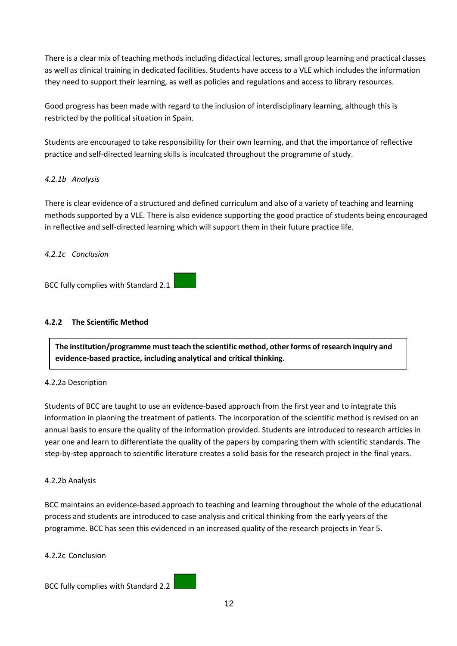There is a clear mix of teaching methods including didactical lectures, small group learning and practical classes as well as clinical training in dedicated facilities. Students have access to a VLE which includes the information they need to support their learning, as well as policies and regulations and access to library resources.

Good progress has been made with regard to the inclusion of interdisciplinary learning, although this is restricted by the political situation in Spain.

Students are encouraged to take responsibility for their own learning, and that the importance of reflective practice and self-directed learning skills is inculcated throughout the programme of study.

## *4.2.1b Analysis*

There is clear evidence of a structured and defined curriculum and also of a variety of teaching and learning methods supported by a VLE. There is also evidence supporting the good practice of students being encouraged in reflective and self-directed learning which will support them in their future practice life.

## *4.2.1c Conclusion*

BCC fully complies with Standard 2.1

## **4.2.2 The Scientific Method**

**The institution/programme must teach the scientific method, other forms of research inquiry and evidence-based practice, including analytical and critical thinking.**

## 4.2.2a Description

Students of BCC are taught to use an evidence-based approach from the first year and to integrate this information in planning the treatment of patients. The incorporation of the scientific method is revised on an annual basis to ensure the quality of the information provided. Students are introduced to research articles in year one and learn to differentiate the quality of the papers by comparing them with scientific standards. The step-by-step approach to scientific literature creates a solid basis for the research project in the final years.

## 4.2.2b Analysis

BCC maintains an evidence-based approach to teaching and learning throughout the whole of the educational process and students are introduced to case analysis and critical thinking from the early years of the programme. BCC has seen this evidenced in an increased quality of the research projects in Year 5.

4.2.2c Conclusion

BCC fully complies with Standard 2.2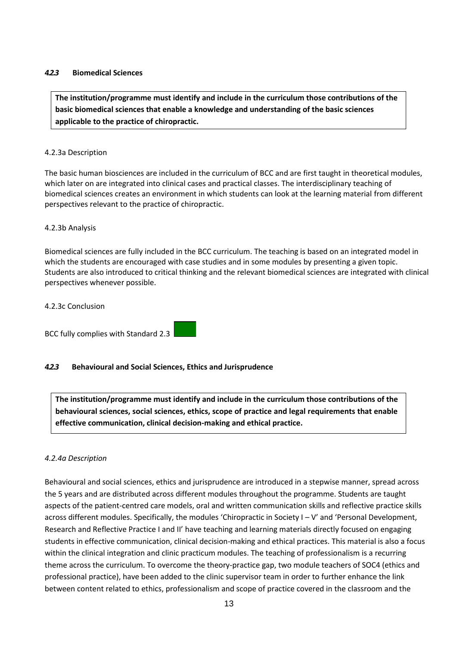### *4.2.3* **Biomedical Sciences**

**The institution/programme must identify and include in the curriculum those contributions of the basic biomedical sciences that enable a knowledge and understanding of the basic sciences applicable to the practice of chiropractic.**

### 4.2.3a Description

The basic human biosciences are included in the curriculum of BCC and are first taught in theoretical modules, which later on are integrated into clinical cases and practical classes. The interdisciplinary teaching of biomedical sciences creates an environment in which students can look at the learning material from different perspectives relevant to the practice of chiropractic.

### 4.2.3b Analysis

Biomedical sciences are fully included in the BCC curriculum. The teaching is based on an integrated model in which the students are encouraged with case studies and in some modules by presenting a given topic. Students are also introduced to critical thinking and the relevant biomedical sciences are integrated with clinical perspectives whenever possible.

### 4.2.3c Conclusion

BCC fully complies with Standard 2.3

## *4.2.3* **Behavioural and Social Sciences, Ethics and Jurisprudence**

**The institution/programme must identify and include in the curriculum those contributions of the behavioural sciences, social sciences, ethics, scope of practice and legal requirements that enable effective communication, clinical decision-making and ethical practice.**

### *4.2.4a Description*

Behavioural and social sciences, ethics and jurisprudence are introduced in a stepwise manner, spread across the 5 years and are distributed across different modules throughout the programme. Students are taught aspects of the patient-centred care models, oral and written communication skills and reflective practice skills across different modules. Specifically, the modules 'Chiropractic in Society I – V' and 'Personal Development, Research and Reflective Practice I and II' have teaching and learning materials directly focused on engaging students in effective communication, clinical decision-making and ethical practices. This material is also a focus within the clinical integration and clinic practicum modules. The teaching of professionalism is a recurring theme across the curriculum. To overcome the theory-practice gap, two module teachers of SOC4 (ethics and professional practice), have been added to the clinic supervisor team in order to further enhance the link between content related to ethics, professionalism and scope of practice covered in the classroom and the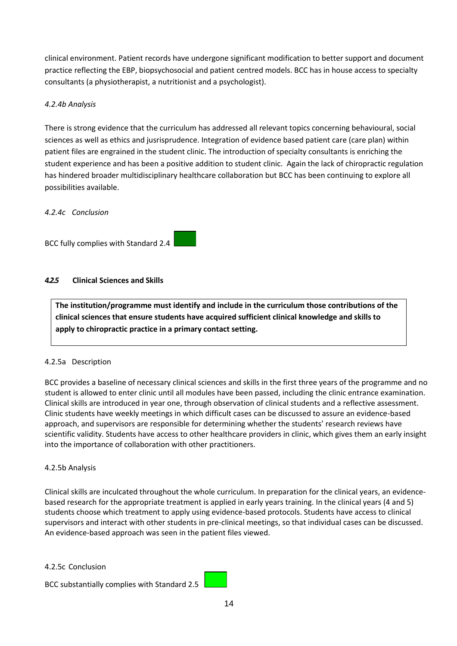clinical environment. Patient records have undergone significant modification to better support and document practice reflecting the EBP, biopsychosocial and patient centred models. BCC has in house access to specialty consultants (a physiotherapist, a nutritionist and a psychologist).

## *4.2.4b Analysis*

There is strong evidence that the curriculum has addressed all relevant topics concerning behavioural, social sciences as well as ethics and jusrisprudence. Integration of evidence based patient care (care plan) within patient files are engrained in the student clinic. The introduction of specialty consultants is enriching the student experience and has been a positive addition to student clinic. Again the lack of chiropractic regulation has hindered broader multidisciplinary healthcare collaboration but BCC has been continuing to explore all possibilities available.

## *4.2.4c Conclusion*



## *4.2.5* **Clinical Sciences and Skills**

**The institution/programme must identify and include in the curriculum those contributions of the clinical sciences that ensure students have acquired sufficient clinical knowledge and skills to apply to chiropractic practice in a primary contact setting.**

## 4.2.5a Description

BCC provides a baseline of necessary clinical sciences and skills in the first three years of the programme and no student is allowed to enter clinic until all modules have been passed, including the clinic entrance examination. Clinical skills are introduced in year one, through observation of clinical students and a reflective assessment. Clinic students have weekly meetings in which difficult cases can be discussed to assure an evidence-based approach, and supervisors are responsible for determining whether the students' research reviews have scientific validity. Students have access to other healthcare providers in clinic, which gives them an early insight into the importance of collaboration with other practitioners.

### 4.2.5b Analysis

Clinical skills are inculcated throughout the whole curriculum. In preparation for the clinical years, an evidencebased research for the appropriate treatment is applied in early years training. In the clinical years (4 and 5) students choose which treatment to apply using evidence-based protocols. Students have access to clinical supervisors and interact with other students in pre-clinical meetings, so that individual cases can be discussed. An evidence-based approach was seen in the patient files viewed.

### 4.2.5c Conclusion

BCC substantially complies with Standard 2.5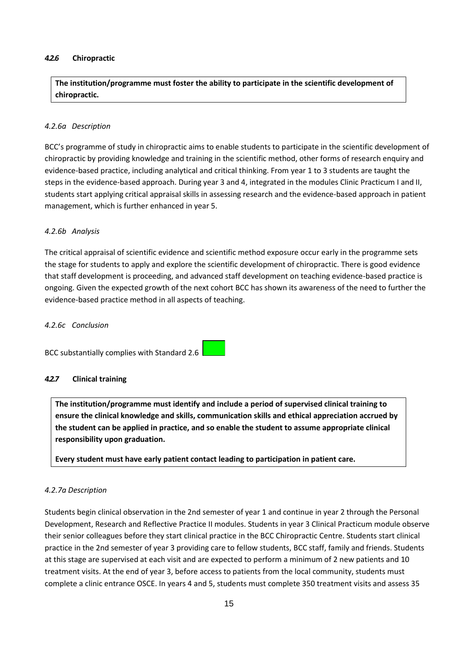### *4.2.6* **Chiropractic**

**The institution/programme must foster the ability to participate in the scientific development of chiropractic.**

### *4.2.6a Description*

BCC's programme of study in chiropractic aims to enable students to participate in the scientific development of chiropractic by providing knowledge and training in the scientific method, other forms of research enquiry and evidence-based practice, including analytical and critical thinking. From year 1 to 3 students are taught the steps in the evidence-based approach. During year 3 and 4, integrated in the modules Clinic Practicum I and II, students start applying critical appraisal skills in assessing research and the evidence-based approach in patient management, which is further enhanced in year 5.

### *4.2.6b Analysis*

The critical appraisal of scientific evidence and scientific method exposure occur early in the programme sets the stage for students to apply and explore the scientific development of chiropractic. There is good evidence that staff development is proceeding, and advanced staff development on teaching evidence-based practice is ongoing. Given the expected growth of the next cohort BCC has shown its awareness of the need to further the evidence-based practice method in all aspects of teaching.

### *4.2.6c Conclusion*

BCC substantially complies with Standard 2.6

### *4.2.7* **Clinical training**

**The institution/programme must identify and include a period of supervised clinical training to ensure the clinical knowledge and skills, communication skills and ethical appreciation accrued by the student can be applied in practice, and so enable the student to assume appropriate clinical responsibility upon graduation.**

**Every student must have early patient contact leading to participation in patient care.**

### *4.2.7a Description*

Students begin clinical observation in the 2nd semester of year 1 and continue in year 2 through the Personal Development, Research and Reflective Practice II modules. Students in year 3 Clinical Practicum module observe their senior colleagues before they start clinical practice in the BCC Chiropractic Centre. Students start clinical practice in the 2nd semester of year 3 providing care to fellow students, BCC staff, family and friends. Students at this stage are supervised at each visit and are expected to perform a minimum of 2 new patients and 10 treatment visits. At the end of year 3, before access to patients from the local community, students must complete a clinic entrance OSCE. In years 4 and 5, students must complete 350 treatment visits and assess 35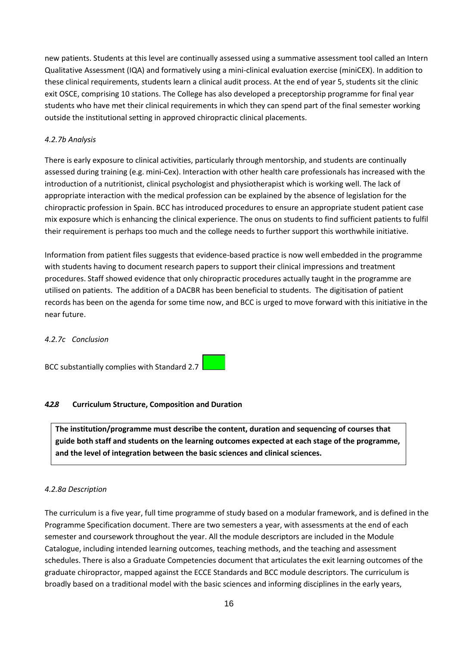new patients. Students at this level are continually assessed using a summative assessment tool called an Intern Qualitative Assessment (IQA) and formatively using a mini-clinical evaluation exercise (miniCEX). In addition to these clinical requirements, students learn a clinical audit process. At the end of year 5, students sit the clinic exit OSCE, comprising 10 stations. The College has also developed a preceptorship programme for final year students who have met their clinical requirements in which they can spend part of the final semester working outside the institutional setting in approved chiropractic clinical placements.

## *4.2.7b Analysis*

There is early exposure to clinical activities, particularly through mentorship, and students are continually assessed during training (e.g. mini-Cex). Interaction with other health care professionals has increased with the introduction of a nutritionist, clinical psychologist and physiotherapist which is working well. The lack of appropriate interaction with the medical profession can be explained by the absence of legislation for the chiropractic profession in Spain. BCC has introduced procedures to ensure an appropriate student patient case mix exposure which is enhancing the clinical experience. The onus on students to find sufficient patients to fulfil their requirement is perhaps too much and the college needs to further support this worthwhile initiative.

Information from patient files suggests that evidence-based practice is now well embedded in the programme with students having to document research papers to support their clinical impressions and treatment procedures. Staff showed evidence that only chiropractic procedures actually taught in the programme are utilised on patients. The addition of a DACBR has been beneficial to students. The digitisation of patient records has been on the agenda for some time now, and BCC is urged to move forward with this initiative in the near future.

## *4.2.7c Conclusion*

BCC substantially complies with Standard 2.7

## *4.2.8* **Curriculum Structure, Composition and Duration**

**The institution/programme must describe the content, duration and sequencing of courses that guide both staff and students on the learning outcomes expected at each stage of the programme, and the level of integration between the basic sciences and clinical sciences.**

### *4.2.8a Description*

The curriculum is a five year, full time programme of study based on a modular framework, and is defined in the Programme Specification document. There are two semesters a year, with assessments at the end of each semester and coursework throughout the year. All the module descriptors are included in the Module Catalogue, including intended learning outcomes, teaching methods, and the teaching and assessment schedules. There is also a Graduate Competencies document that articulates the exit learning outcomes of the graduate chiropractor, mapped against the ECCE Standards and BCC module descriptors. The curriculum is broadly based on a traditional model with the basic sciences and informing disciplines in the early years,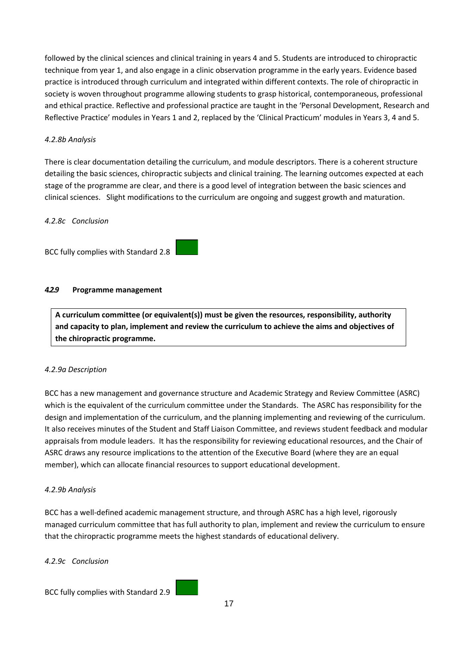followed by the clinical sciences and clinical training in years 4 and 5. Students are introduced to chiropractic technique from year 1, and also engage in a clinic observation programme in the early years. Evidence based practice is introduced through curriculum and integrated within different contexts. The role of chiropractic in society is woven throughout programme allowing students to grasp historical, contemporaneous, professional and ethical practice. Reflective and professional practice are taught in the 'Personal Development, Research and Reflective Practice' modules in Years 1 and 2, replaced by the 'Clinical Practicum' modules in Years 3, 4 and 5.

## *4.2.8b Analysis*

There is clear documentation detailing the curriculum, and module descriptors. There is a coherent structure detailing the basic sciences, chiropractic subjects and clinical training. The learning outcomes expected at each stage of the programme are clear, and there is a good level of integration between the basic sciences and clinical sciences. Slight modifications to the curriculum are ongoing and suggest growth and maturation.

## *4.2.8c Conclusion*



## *4.2.9* **Programme management**

**A curriculum committee (or equivalent(s)) must be given the resources, responsibility, authority and capacity to plan, implement and review the curriculum to achieve the aims and objectives of the chiropractic programme.**

## *4.2.9a Description*

BCC has a new management and governance structure and Academic Strategy and Review Committee (ASRC) which is the equivalent of the curriculum committee under the Standards. The ASRC has responsibility for the design and implementation of the curriculum, and the planning implementing and reviewing of the curriculum. It also receives minutes of the Student and Staff Liaison Committee, and reviews student feedback and modular appraisals from module leaders. It has the responsibility for reviewing educational resources, and the Chair of ASRC draws any resource implications to the attention of the Executive Board (where they are an equal member), which can allocate financial resources to support educational development.

## *4.2.9b Analysis*

BCC has a well-defined academic management structure, and through ASRC has a high level, rigorously managed curriculum committee that has full authority to plan, implement and review the curriculum to ensure that the chiropractic programme meets the highest standards of educational delivery.

### *4.2.9c Conclusion*

BCC fully complies with Standard 2.9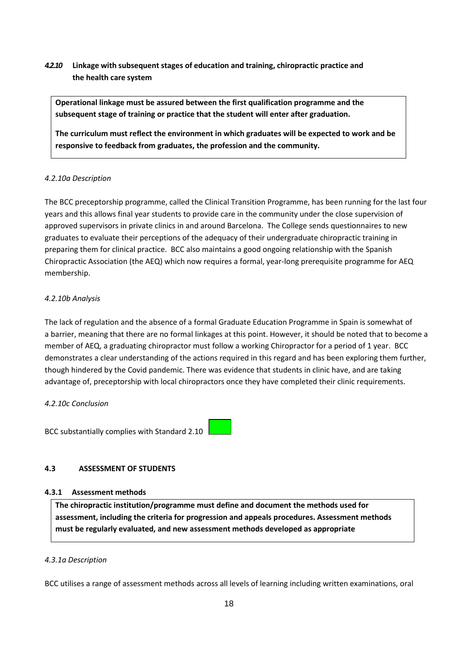# *4.2.10* **Linkage with subsequent stages of education and training, chiropractic practice and the health care system**

**Operational linkage must be assured between the first qualification programme and the subsequent stage of training or practice that the student will enter after graduation.**

**The curriculum must reflect the environment in which graduates will be expected to work and be responsive to feedback from graduates, the profession and the community.**

### *4.2.10a Description*

The BCC preceptorship programme, called the Clinical Transition Programme, has been running for the last four years and this allows final year students to provide care in the community under the close supervision of approved supervisors in private clinics in and around Barcelona. The College sends questionnaires to new graduates to evaluate their perceptions of the adequacy of their undergraduate chiropractic training in preparing them for clinical practice. BCC also maintains a good ongoing relationship with the Spanish Chiropractic Association (the AEQ) which now requires a formal, year-long prerequisite programme for AEQ membership.

### *4.2.10b Analysis*

The lack of regulation and the absence of a formal Graduate Education Programme in Spain is somewhat of a barrier, meaning that there are no formal linkages at this point. However, it should be noted that to become a member of AEQ, a graduating chiropractor must follow a working Chiropractor for a period of 1 year. BCC demonstrates a clear understanding of the actions required in this regard and has been exploring them further, though hindered by the Covid pandemic. There was evidence that students in clinic have, and are taking advantage of, preceptorship with local chiropractors once they have completed their clinic requirements.

### *4.2.10c Conclusion*

BCC substantially complies with Standard 2.10



## **4.3 ASSESSMENT OF STUDENTS**

### **4.3.1 Assessment methods**

**The chiropractic institution/programme must define and document the methods used for assessment, including the criteria for progression and appeals procedures. Assessment methods must be regularly evaluated, and new assessment methods developed as appropriate**

### *4.3.1a Description*

BCC utilises a range of assessment methods across all levels of learning including written examinations, oral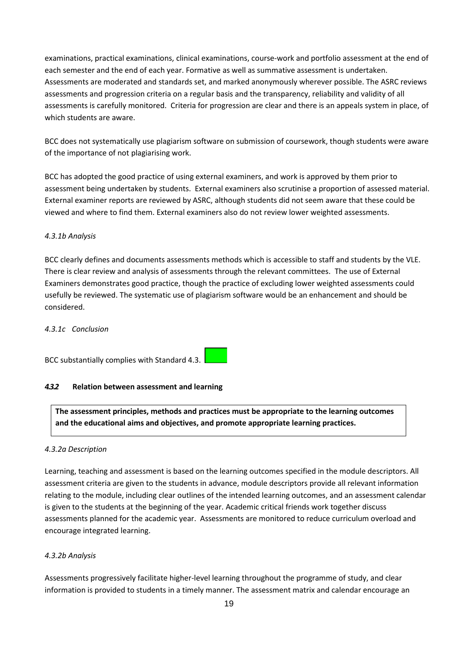examinations, practical examinations, clinical examinations, course-work and portfolio assessment at the end of each semester and the end of each year. Formative as well as summative assessment is undertaken. Assessments are moderated and standards set, and marked anonymously wherever possible. The ASRC reviews assessments and progression criteria on a regular basis and the transparency, reliability and validity of all assessments is carefully monitored. Criteria for progression are clear and there is an appeals system in place, of which students are aware.

BCC does not systematically use plagiarism software on submission of coursework, though students were aware of the importance of not plagiarising work.

BCC has adopted the good practice of using external examiners, and work is approved by them prior to assessment being undertaken by students. External examiners also scrutinise a proportion of assessed material. External examiner reports are reviewed by ASRC, although students did not seem aware that these could be viewed and where to find them. External examiners also do not review lower weighted assessments.

## *4.3.1b Analysis*

BCC clearly defines and documents assessments methods which is accessible to staff and students by the VLE. There is clear review and analysis of assessments through the relevant committees. The use of External Examiners demonstrates good practice, though the practice of excluding lower weighted assessments could usefully be reviewed. The systematic use of plagiarism software would be an enhancement and should be considered.

## *4.3.1c Conclusion*

BCC substantially complies with Standard 4.3.

## *4.3.2* **Relation between assessment and learning**

**The assessment principles, methods and practices must be appropriate to the learning outcomes and the educational aims and objectives, and promote appropriate learning practices.**

## *4.3.2a Description*

Learning, teaching and assessment is based on the learning outcomes specified in the module descriptors. All assessment criteria are given to the students in advance, module descriptors provide all relevant information relating to the module, including clear outlines of the intended learning outcomes, and an assessment calendar is given to the students at the beginning of the year. Academic critical friends work together discuss assessments planned for the academic year. Assessments are monitored to reduce curriculum overload and encourage integrated learning.

## *4.3.2b Analysis*

Assessments progressively facilitate higher-level learning throughout the programme of study, and clear information is provided to students in a timely manner. The assessment matrix and calendar encourage an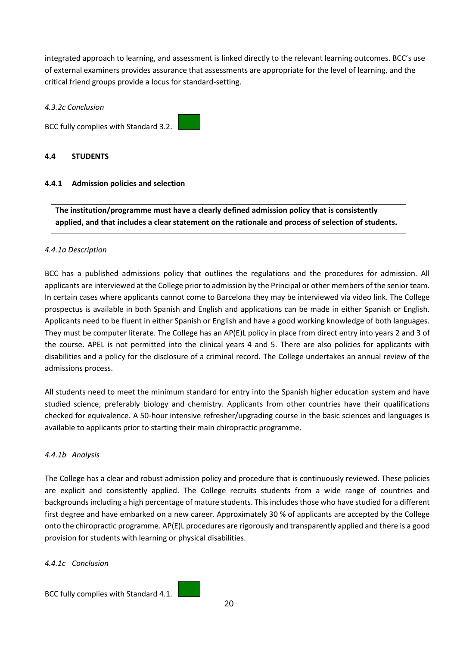integrated approach to learning, and assessment is linked directly to the relevant learning outcomes. BCC's use of external examiners provides assurance that assessments are appropriate for the level of learning, and the critical friend groups provide a locus for standard-setting.

### *4.3.2c Conclusion*

BCC fully complies with Standard 3.2.

### **4.4 STUDENTS**

## **4.4.1 Admission policies and selection**

**The institution/programme must have a clearly defined admission policy that is consistently applied, and that includes a clear statement on the rationale and process of selection of students.**

### *4.4.1a Description*

BCC has a published admissions policy that outlines the regulations and the procedures for admission. All applicants are interviewed at the College prior to admission by the Principal or other members of the senior team. In certain cases where applicants cannot come to Barcelona they may be interviewed via video link. The College prospectus is available in both Spanish and English and applications can be made in either Spanish or English. Applicants need to be fluent in either Spanish or English and have a good working knowledge of both languages. They must be computer literate. The College has an AP(E)L policy in place from direct entry into years 2 and 3 of the course. APEL is not permitted into the clinical years 4 and 5. There are also policies for applicants with disabilities and a policy for the disclosure of a criminal record. The College undertakes an annual review of the admissions process.

All students need to meet the minimum standard for entry into the Spanish higher education system and have studied science, preferably biology and chemistry. Applicants from other countries have their qualifications checked for equivalence. A 50-hour intensive refresher/upgrading course in the basic sciences and languages is available to applicants prior to starting their main chiropractic programme.

### *4.4.1b Analysis*

The College has a clear and robust admission policy and procedure that is continuously reviewed. These policies are explicit and consistently applied. The College recruits students from a wide range of countries and backgrounds including a high percentage of mature students. This includes those who have studied for a different first degree and have embarked on a new career. Approximately 30 % of applicants are accepted by the College onto the chiropractic programme. AP(E)L procedures are rigorously and transparently applied and there is a good provision for students with learning or physical disabilities.

### *4.4.1c Conclusion*

BCC fully complies with Standard 4.1.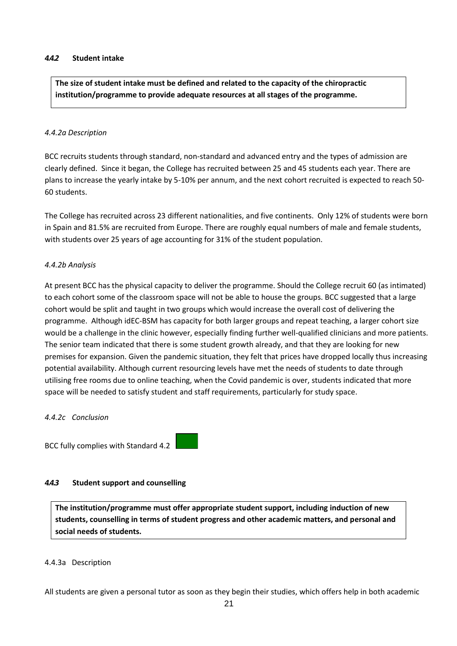#### *4.4.2* **Student intake**

**The size of student intake must be defined and related to the capacity of the chiropractic institution/programme to provide adequate resources at all stages of the programme.**

#### *4.4.2a Description*

BCC recruits students through standard, non-standard and advanced entry and the types of admission are clearly defined. Since it began, the College has recruited between 25 and 45 students each year. There are plans to increase the yearly intake by 5-10% per annum, and the next cohort recruited is expected to reach 50- 60 students.

The College has recruited across 23 different nationalities, and five continents. Only 12% of students were born in Spain and 81.5% are recruited from Europe. There are roughly equal numbers of male and female students, with students over 25 years of age accounting for 31% of the student population.

#### *4.4.2b Analysis*

At present BCC has the physical capacity to deliver the programme. Should the College recruit 60 (as intimated) to each cohort some of the classroom space will not be able to house the groups. BCC suggested that a large cohort would be split and taught in two groups which would increase the overall cost of delivering the programme. Although idEC-BSM has capacity for both larger groups and repeat teaching, a larger cohort size would be a challenge in the clinic however, especially finding further well-qualified clinicians and more patients. The senior team indicated that there is some student growth already, and that they are looking for new premises for expansion. Given the pandemic situation, they felt that prices have dropped locally thus increasing potential availability. Although current resourcing levels have met the needs of students to date through utilising free rooms due to online teaching, when the Covid pandemic is over, students indicated that more space will be needed to satisfy student and staff requirements, particularly for study space.

#### *4.4.2c Conclusion*

BCC fully complies with Standard 4.2

### *4.4.3* **Student support and counselling**

**The institution/programme must offer appropriate student support, including induction of new students, counselling in terms of student progress and other academic matters, and personal and social needs of students.**

#### 4.4.3a Description

All students are given a personal tutor as soon as they begin their studies, which offers help in both academic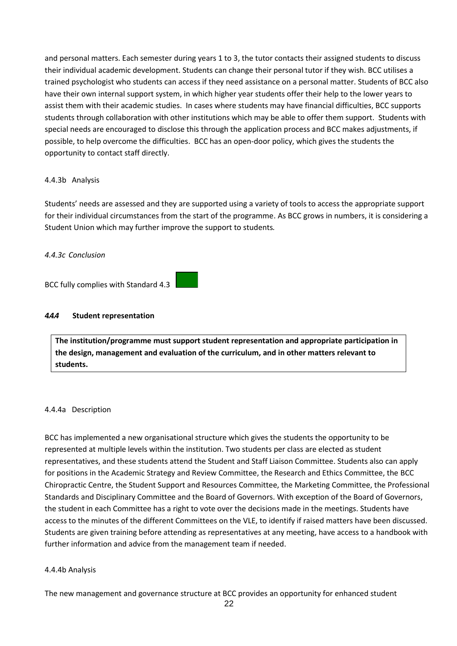and personal matters. Each semester during years 1 to 3, the tutor contacts their assigned students to discuss their individual academic development. Students can change their personal tutor if they wish. BCC utilises a trained psychologist who students can access if they need assistance on a personal matter. Students of BCC also have their own internal support system, in which higher year students offer their help to the lower years to assist them with their academic studies. In cases where students may have financial difficulties, BCC supports students through collaboration with other institutions which may be able to offer them support. Students with special needs are encouraged to disclose this through the application process and BCC makes adjustments, if possible, to help overcome the difficulties. BCC has an open-door policy, which gives the students the opportunity to contact staff directly.

### 4.4.3b Analysis

Students' needs are assessed and they are supported using a variety of tools to access the appropriate support for their individual circumstances from the start of the programme. As BCC grows in numbers, it is considering a Student Union which may further improve the support to students*.*

### *4.4.3c Conclusion*

BCC fully complies with Standard 4.3

### *4.4.4* **Student representation**

**The institution/programme must support student representation and appropriate participation in the design, management and evaluation of the curriculum, and in other matters relevant to students.**

### 4.4.4a Description

BCC has implemented a new organisational structure which gives the students the opportunity to be represented at multiple levels within the institution. Two students per class are elected as student representatives, and these students attend the Student and Staff Liaison Committee. Students also can apply for positions in the Academic Strategy and Review Committee, the Research and Ethics Committee, the BCC Chiropractic Centre, the Student Support and Resources Committee, the Marketing Committee, the Professional Standards and Disciplinary Committee and the Board of Governors. With exception of the Board of Governors, the student in each Committee has a right to vote over the decisions made in the meetings. Students have access to the minutes of the different Committees on the VLE, to identify if raised matters have been discussed. Students are given training before attending as representatives at any meeting, have access to a handbook with further information and advice from the management team if needed.

### 4.4.4b Analysis

The new management and governance structure at BCC provides an opportunity for enhanced student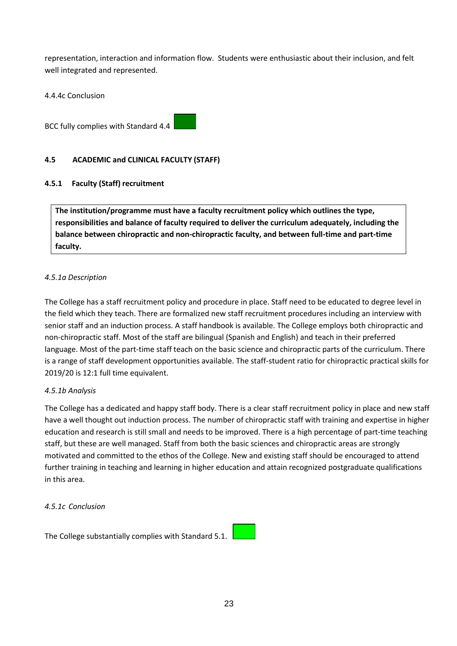representation, interaction and information flow. Students were enthusiastic about their inclusion, and felt well integrated and represented.

4.4.4c Conclusion

BCC fully complies with Standard 4.4

## **4.5 ACADEMIC and CLINICAL FACULTY (STAFF)**

## **4.5.1 Faculty (Staff) recruitment**

**The institution/programme must have a faculty recruitment policy which outlines the type, responsibilities and balance of faculty required to deliver the curriculum adequately, including the balance between chiropractic and non-chiropractic faculty, and between full-time and part-time faculty.**

## *4.5.1a Description*

The College has a staff recruitment policy and procedure in place. Staff need to be educated to degree level in the field which they teach. There are formalized new staff recruitment procedures including an interview with senior staff and an induction process. A staff handbook is available. The College employs both chiropractic and non-chiropractic staff. Most of the staff are bilingual (Spanish and English) and teach in their preferred language. Most of the part-time staff teach on the basic science and chiropractic parts of the curriculum. There is a range of staff development opportunities available. The staff-student ratio for chiropractic practical skills for 2019/20 is 12:1 full time equivalent.

## *4.5.1b Analysis*

The College has a dedicated and happy staff body. There is a clear staff recruitment policy in place and new staff have a well thought out induction process. The number of chiropractic staff with training and expertise in higher education and research is still small and needs to be improved. There is a high percentage of part-time teaching staff, but these are well managed. Staff from both the basic sciences and chiropractic areas are strongly motivated and committed to the ethos of the College. New and existing staff should be encouraged to attend further training in teaching and learning in higher education and attain recognized postgraduate qualifications in this area.

### *4.5.1c Conclusion*

The College substantially complies with Standard 5.1.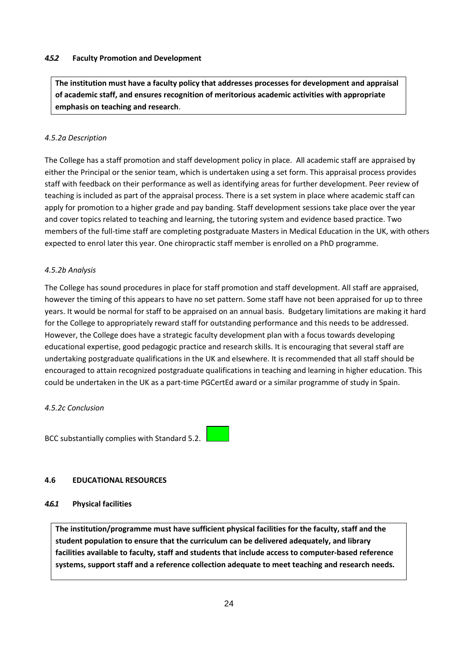### *4.5.2* **Faculty Promotion and Development**

**The institution must have a faculty policy that addresses processes for development and appraisal of academic staff, and ensures recognition of meritorious academic activities with appropriate emphasis on teaching and research**.

## *4.5.2a Description*

The College has a staff promotion and staff development policy in place. All academic staff are appraised by either the Principal or the senior team, which is undertaken using a set form. This appraisal process provides staff with feedback on their performance as well as identifying areas for further development. Peer review of teaching is included as part of the appraisal process. There is a set system in place where academic staff can apply for promotion to a higher grade and pay banding. Staff development sessions take place over the year and cover topics related to teaching and learning, the tutoring system and evidence based practice. Two members of the full-time staff are completing postgraduate Masters in Medical Education in the UK, with others expected to enrol later this year. One chiropractic staff member is enrolled on a PhD programme.

### *4.5.2b Analysis*

The College has sound procedures in place for staff promotion and staff development. All staff are appraised, however the timing of this appears to have no set pattern. Some staff have not been appraised for up to three years. It would be normal for staff to be appraised on an annual basis. Budgetary limitations are making it hard for the College to appropriately reward staff for outstanding performance and this needs to be addressed. However, the College does have a strategic faculty development plan with a focus towards developing educational expertise, good pedagogic practice and research skills. It is encouraging that several staff are undertaking postgraduate qualifications in the UK and elsewhere. It is recommended that all staff should be encouraged to attain recognized postgraduate qualifications in teaching and learning in higher education. This could be undertaken in the UK as a part-time PGCertEd award or a similar programme of study in Spain.

### *4.5.2c Conclusion*

BCC substantially complies with Standard 5.2.

## **4.6 EDUCATIONAL RESOURCES**

## *4.6.1* **Physical facilities**

**The institution/programme must have sufficient physical facilities for the faculty, staff and the student population to ensure that the curriculum can be delivered adequately, and library facilities available to faculty, staff and students that include access to computer-based reference systems, support staff and a reference collection adequate to meet teaching and research needs.**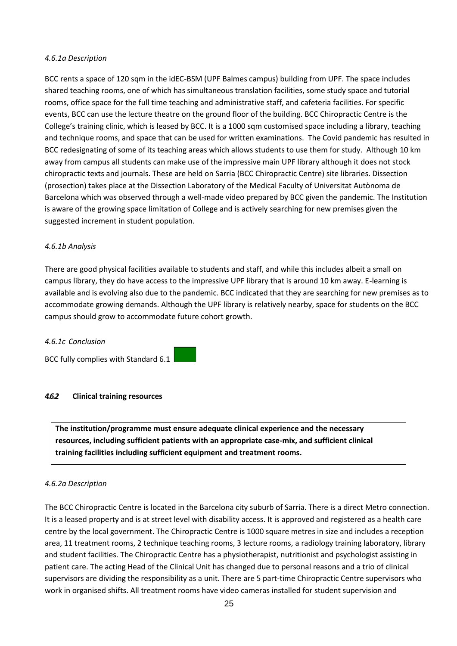### *4.6.1a Description*

BCC rents a space of 120 sqm in the idEC-BSM (UPF Balmes campus) building from UPF. The space includes shared teaching rooms, one of which has simultaneous translation facilities, some study space and tutorial rooms, office space for the full time teaching and administrative staff, and cafeteria facilities. For specific events, BCC can use the lecture theatre on the ground floor of the building. BCC Chiropractic Centre is the College's training clinic, which is leased by BCC. It is a 1000 sqm customised space including a library, teaching and technique rooms, and space that can be used for written examinations. The Covid pandemic has resulted in BCC redesignating of some of its teaching areas which allows students to use them for study. Although 10 km away from campus all students can make use of the impressive main UPF library although it does not stock chiropractic texts and journals. These are held on Sarria (BCC Chiropractic Centre) site libraries. Dissection (prosection) takes place at the Dissection Laboratory of the Medical Faculty of Universitat Autònoma de Barcelona which was observed through a well-made video prepared by BCC given the pandemic. The Institution is aware of the growing space limitation of College and is actively searching for new premises given the suggested increment in student population.

### *4.6.1b Analysis*

There are good physical facilities available to students and staff, and while this includes albeit a small on campus library, they do have access to the impressive UPF library that is around 10 km away. E-learning is available and is evolving also due to the pandemic. BCC indicated that they are searching for new premises as to accommodate growing demands. Although the UPF library is relatively nearby, space for students on the BCC campus should grow to accommodate future cohort growth.

### *4.6.1c Conclusion*

BCC fully complies with Standard 6.1

### *4.6.2* **Clinical training resources**

**The institution/programme must ensure adequate clinical experience and the necessary resources, including sufficient patients with an appropriate case-mix, and sufficient clinical training facilities including sufficient equipment and treatment rooms.**

## *4.6.2a Description*

The BCC Chiropractic Centre is located in the Barcelona city suburb of Sarria. There is a direct Metro connection. It is a leased property and is at street level with disability access. It is approved and registered as a health care centre by the local government. The Chiropractic Centre is 1000 square metres in size and includes a reception area, 11 treatment rooms, 2 technique teaching rooms, 3 lecture rooms, a radiology training laboratory, library and student facilities. The Chiropractic Centre has a physiotherapist, nutritionist and psychologist assisting in patient care. The acting Head of the Clinical Unit has changed due to personal reasons and a trio of clinical supervisors are dividing the responsibility as a unit. There are 5 part-time Chiropractic Centre supervisors who work in organised shifts. All treatment rooms have video cameras installed for student supervision and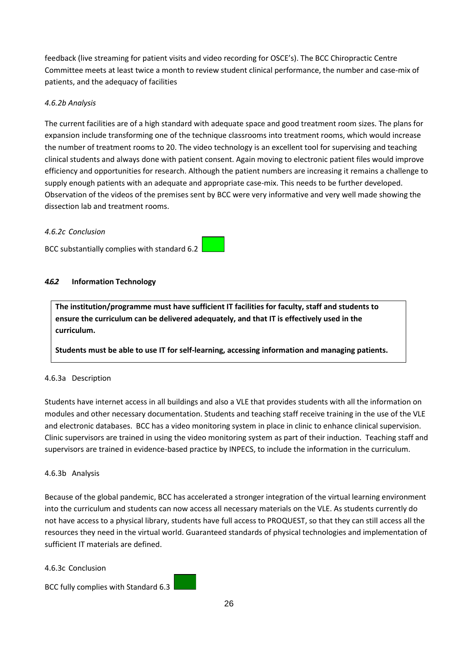feedback (live streaming for patient visits and video recording for OSCE's). The BCC Chiropractic Centre Committee meets at least twice a month to review student clinical performance, the number and case-mix of patients, and the adequacy of facilities

## *4.6.2b Analysis*

The current facilities are of a high standard with adequate space and good treatment room sizes. The plans for expansion include transforming one of the technique classrooms into treatment rooms, which would increase the number of treatment rooms to 20. The video technology is an excellent tool for supervising and teaching clinical students and always done with patient consent. Again moving to electronic patient files would improve efficiency and opportunities for research. Although the patient numbers are increasing it remains a challenge to supply enough patients with an adequate and appropriate case-mix. This needs to be further developed. Observation of the videos of the premises sent by BCC were very informative and very well made showing the dissection lab and treatment rooms.

### *4.6.2c Conclusion*

BCC substantially complies with standard 6.2

## *4.6.2* **Information Technology**

**The institution/programme must have sufficient IT facilities for faculty, staff and students to ensure the curriculum can be delivered adequately, and that IT is effectively used in the curriculum.**

**Students must be able to use IT for self-learning, accessing information and managing patients.**

## 4.6.3a Description

Students have internet access in all buildings and also a VLE that provides students with all the information on modules and other necessary documentation. Students and teaching staff receive training in the use of the VLE and electronic databases. BCC has a video monitoring system in place in clinic to enhance clinical supervision. Clinic supervisors are trained in using the video monitoring system as part of their induction. Teaching staff and supervisors are trained in evidence-based practice by INPECS, to include the information in the curriculum.

## 4.6.3b Analysis

Because of the global pandemic, BCC has accelerated a stronger integration of the virtual learning environment into the curriculum and students can now access all necessary materials on the VLE. As students currently do not have access to a physical library, students have full access to PROQUEST, so that they can still access all the resources they need in the virtual world. Guaranteed standards of physical technologies and implementation of sufficient IT materials are defined.

## 4.6.3c Conclusion

BCC fully complies with Standard 6.3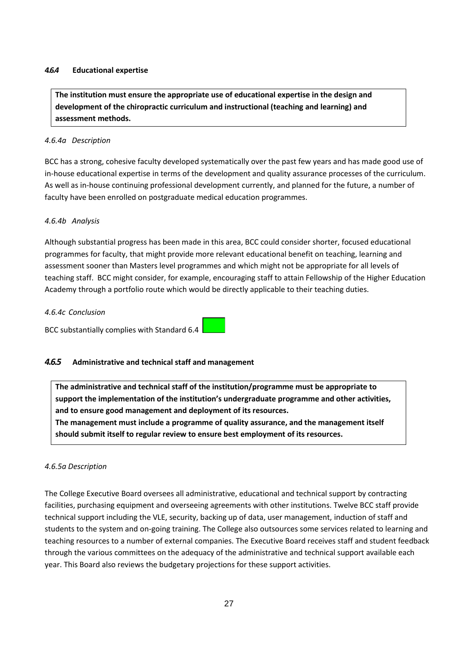### *4.6.4* **Educational expertise**

**The institution must ensure the appropriate use of educational expertise in the design and development of the chiropractic curriculum and instructional (teaching and learning) and assessment methods.**

### *4.6.4a Description*

BCC has a strong, cohesive faculty developed systematically over the past few years and has made good use of in-house educational expertise in terms of the development and quality assurance processes of the curriculum. As well as in-house continuing professional development currently, and planned for the future, a number of faculty have been enrolled on postgraduate medical education programmes.

## *4.6.4b Analysis*

Although substantial progress has been made in this area, BCC could consider shorter, focused educational programmes for faculty, that might provide more relevant educational benefit on teaching, learning and assessment sooner than Masters level programmes and which might not be appropriate for all levels of teaching staff. BCC might consider, for example, encouraging staff to attain Fellowship of the Higher Education Academy through a portfolio route which would be directly applicable to their teaching duties.

### *4.6.4c Conclusion*

BCC substantially complies with Standard 6.4

## *4.6.5* **Administrative and technical staff and management**

**The administrative and technical staff of the institution/programme must be appropriate to support the implementation of the institution's undergraduate programme and other activities, and to ensure good management and deployment of its resources.**

**The management must include a programme of quality assurance, and the management itself should submit itself to regular review to ensure best employment of its resources.**

### *4.6.5a Description*

The College Executive Board oversees all administrative, educational and technical support by contracting facilities, purchasing equipment and overseeing agreements with other institutions. Twelve BCC staff provide technical support including the VLE, security, backing up of data, user management, induction of staff and students to the system and on-going training. The College also outsources some services related to learning and teaching resources to a number of external companies. The Executive Board receives staff and student feedback through the various committees on the adequacy of the administrative and technical support available each year. This Board also reviews the budgetary projections for these support activities.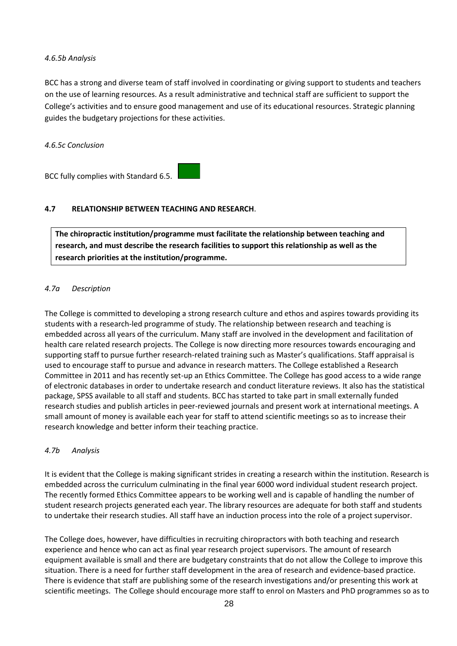### *4.6.5b Analysis*

BCC has a strong and diverse team of staff involved in coordinating or giving support to students and teachers on the use of learning resources. As a result administrative and technical staff are sufficient to support the College's activities and to ensure good management and use of its educational resources. Strategic planning guides the budgetary projections for these activities.

*4.6.5c Conclusion*

BCC fully complies with Standard 6.5.

## **4.7 RELATIONSHIP BETWEEN TEACHING AND RESEARCH**.

**The chiropractic institution/programme must facilitate the relationship between teaching and research, and must describe the research facilities to support this relationship as well as the research priorities at the institution/programme.**

## *4.7a Description*

The College is committed to developing a strong research culture and ethos and aspires towards providing its students with a research-led programme of study. The relationship between research and teaching is embedded across all years of the curriculum. Many staff are involved in the development and facilitation of health care related research projects. The College is now directing more resources towards encouraging and supporting staff to pursue further research-related training such as Master's qualifications. Staff appraisal is used to encourage staff to pursue and advance in research matters. The College established a Research Committee in 2011 and has recently set-up an Ethics Committee. The College has good access to a wide range of electronic databases in order to undertake research and conduct literature reviews. It also has the statistical package, SPSS available to all staff and students. BCC has started to take part in small externally funded research studies and publish articles in peer-reviewed journals and present work at international meetings. A small amount of money is available each year for staff to attend scientific meetings so as to increase their research knowledge and better inform their teaching practice.

### *4.7b Analysis*

It is evident that the College is making significant strides in creating a research within the institution. Research is embedded across the curriculum culminating in the final year 6000 word individual student research project. The recently formed Ethics Committee appears to be working well and is capable of handling the number of student research projects generated each year. The library resources are adequate for both staff and students to undertake their research studies. All staff have an induction process into the role of a project supervisor.

The College does, however, have difficulties in recruiting chiropractors with both teaching and research experience and hence who can act as final year research project supervisors. The amount of research equipment available is small and there are budgetary constraints that do not allow the College to improve this situation. There is a need for further staff development in the area of research and evidence-based practice. There is evidence that staff are publishing some of the research investigations and/or presenting this work at scientific meetings. The College should encourage more staff to enrol on Masters and PhD programmes so as to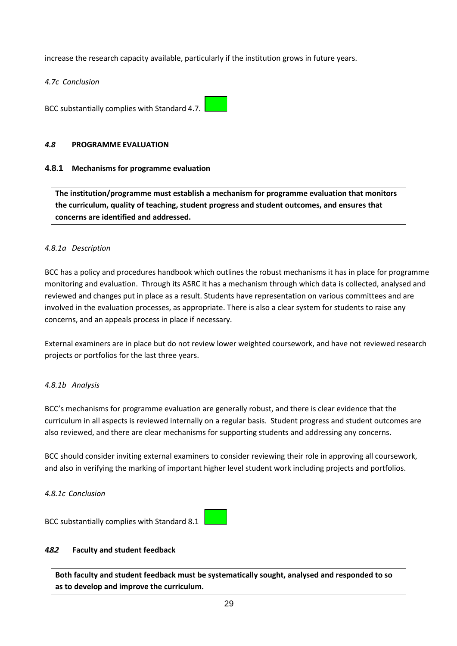increase the research capacity available, particularly if the institution grows in future years.

*4.7c Conclusion*

BCC substantially complies with Standard 4.7.

### *4.8* **PROGRAMME EVALUATION**

### **4.8.1 Mechanisms for programme evaluation**

**The institution/programme must establish a mechanism for programme evaluation that monitors the curriculum, quality of teaching, student progress and student outcomes, and ensures that concerns are identified and addressed.**

### *4.8.1a Description*

BCC has a policy and procedures handbook which outlines the robust mechanisms it has in place for programme monitoring and evaluation. Through its ASRC it has a mechanism through which data is collected, analysed and reviewed and changes put in place as a result. Students have representation on various committees and are involved in the evaluation processes, as appropriate. There is also a clear system for students to raise any concerns, and an appeals process in place if necessary.

External examiners are in place but do not review lower weighted coursework, and have not reviewed research projects or portfolios for the last three years.

## *4.8.1b Analysis*

BCC's mechanisms for programme evaluation are generally robust, and there is clear evidence that the curriculum in all aspects is reviewed internally on a regular basis. Student progress and student outcomes are also reviewed, and there are clear mechanisms for supporting students and addressing any concerns.

BCC should consider inviting external examiners to consider reviewing their role in approving all coursework, and also in verifying the marking of important higher level student work including projects and portfolios.

### *4.8.1c Conclusion*



## *4.8.2* **Faculty and student feedback**

**Both faculty and student feedback must be systematically sought, analysed and responded to so as to develop and improve the curriculum.**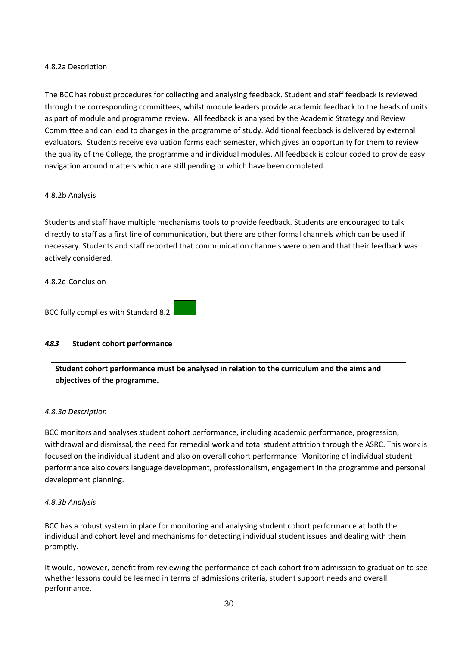### 4.8.2a Description

The BCC has robust procedures for collecting and analysing feedback. Student and staff feedback is reviewed through the corresponding committees, whilst module leaders provide academic feedback to the heads of units as part of module and programme review. All feedback is analysed by the Academic Strategy and Review Committee and can lead to changes in the programme of study. Additional feedback is delivered by external evaluators. Students receive evaluation forms each semester, which gives an opportunity for them to review the quality of the College, the programme and individual modules. All feedback is colour coded to provide easy navigation around matters which are still pending or which have been completed.

### 4.8.2b Analysis

Students and staff have multiple mechanisms tools to provide feedback. Students are encouraged to talk directly to staff as a first line of communication, but there are other formal channels which can be used if necessary. Students and staff reported that communication channels were open and that their feedback was actively considered.

### 4.8.2c Conclusion

BCC fully complies with Standard 8.2

## *4.8.3* **Student cohort performance**

**Student cohort performance must be analysed in relation to the curriculum and the aims and objectives of the programme.**

### *4.8.3a Description*

BCC monitors and analyses student cohort performance, including academic performance, progression, withdrawal and dismissal, the need for remedial work and total student attrition through the ASRC. This work is focused on the individual student and also on overall cohort performance. Monitoring of individual student performance also covers language development, professionalism, engagement in the programme and personal development planning.

### *4.8.3b Analysis*

BCC has a robust system in place for monitoring and analysing student cohort performance at both the individual and cohort level and mechanisms for detecting individual student issues and dealing with them promptly.

It would, however, benefit from reviewing the performance of each cohort from admission to graduation to see whether lessons could be learned in terms of admissions criteria, student support needs and overall performance.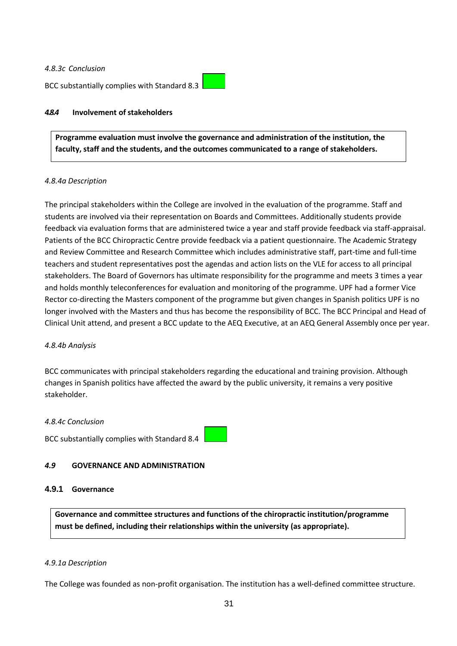### *4.8.3c Conclusion*

BCC substantially complies with Standard 8.3



### *4.8.4* **Involvement of stakeholders**

**Programme evaluation must involve the governance and administration of the institution, the faculty, staff and the students, and the outcomes communicated to a range of stakeholders.**

### *4.8.4a Description*

The principal stakeholders within the College are involved in the evaluation of the programme. Staff and students are involved via their representation on Boards and Committees. Additionally students provide feedback via evaluation forms that are administered twice a year and staff provide feedback via staff-appraisal. Patients of the BCC Chiropractic Centre provide feedback via a patient questionnaire. The Academic Strategy and Review Committee and Research Committee which includes administrative staff, part-time and full-time teachers and student representatives post the agendas and action lists on the VLE for access to all principal stakeholders. The Board of Governors has ultimate responsibility for the programme and meets 3 times a year and holds monthly teleconferences for evaluation and monitoring of the programme. UPF had a former Vice Rector co-directing the Masters component of the programme but given changes in Spanish politics UPF is no longer involved with the Masters and thus has become the responsibility of BCC. The BCC Principal and Head of Clinical Unit attend, and present a BCC update to the AEQ Executive, at an AEQ General Assembly once per year.

### *4.8.4b Analysis*

BCC communicates with principal stakeholders regarding the educational and training provision. Although changes in Spanish politics have affected the award by the public university, it remains a very positive stakeholder.

#### *4.8.4c Conclusion*

BCC substantially complies with Standard 8.4



### *4.9* **GOVERNANCE AND ADMINISTRATION**

### **4.9.1 Governance**

**Governance and committee structures and functions of the chiropractic institution/programme must be defined, including their relationships within the university (as appropriate).**

### *4.9.1a Description*

The College was founded as non-profit organisation. The institution has a well-defined committee structure.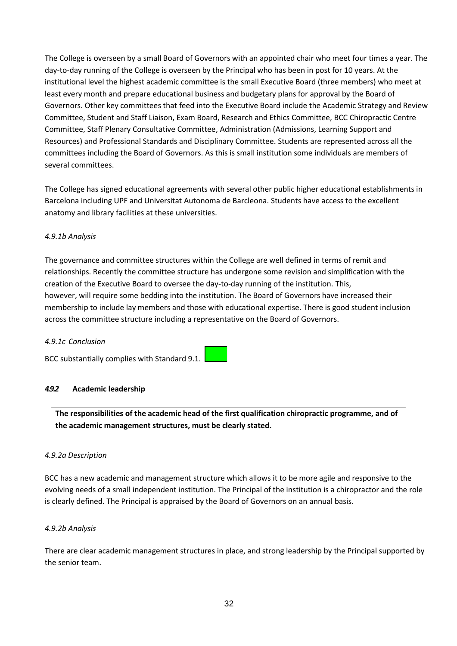The College is overseen by a small Board of Governors with an appointed chair who meet four times a year. The day-to-day running of the College is overseen by the Principal who has been in post for 10 years. At the institutional level the highest academic committee is the small Executive Board (three members) who meet at least every month and prepare educational business and budgetary plans for approval by the Board of Governors. Other key committees that feed into the Executive Board include the Academic Strategy and Review Committee, Student and Staff Liaison, Exam Board, Research and Ethics Committee, BCC Chiropractic Centre Committee, Staff Plenary Consultative Committee, Administration (Admissions, Learning Support and Resources) and Professional Standards and Disciplinary Committee. Students are represented across all the committees including the Board of Governors. As this is small institution some individuals are members of several committees.

The College has signed educational agreements with several other public higher educational establishments in Barcelona including UPF and Universitat Autonoma de Barcleona. Students have access to the excellent anatomy and library facilities at these universities.

## *4.9.1b Analysis*

The governance and committee structures within the College are well defined in terms of remit and relationships. Recently the committee structure has undergone some revision and simplification with the creation of the Executive Board to oversee the day-to-day running of the institution. This, however, will require some bedding into the institution. The Board of Governors have increased their membership to include lay members and those with educational expertise. There is good student inclusion across the committee structure including a representative on the Board of Governors.

### *4.9.1c Conclusion*

BCC substantially complies with Standard 9.1.

### *4.9.2* **Academic leadership**

**The responsibilities of the academic head of the first qualification chiropractic programme, and of the academic management structures, must be clearly stated.**

### *4.9.2a Description*

BCC has a new academic and management structure which allows it to be more agile and responsive to the evolving needs of a small independent institution. The Principal of the institution is a chiropractor and the role is clearly defined. The Principal is appraised by the Board of Governors on an annual basis.

### *4.9.2b Analysis*

There are clear academic management structures in place, and strong leadership by the Principal supported by the senior team.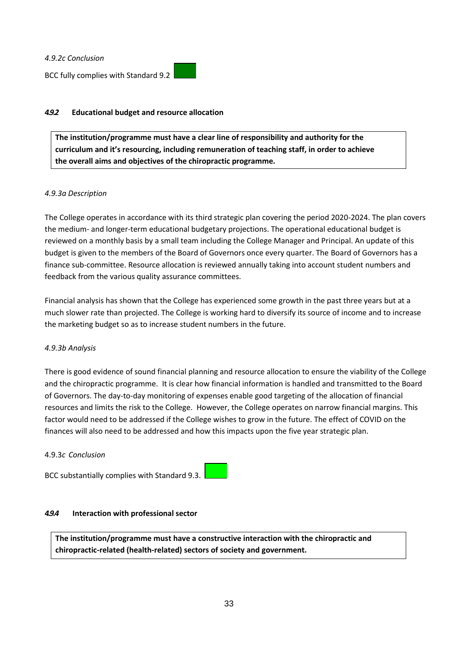*4.9.2c Conclusion*

BCC fully complies with Standard 9.2

## *4.9.2* **Educational budget and resource allocation**

**The institution/programme must have a clear line of responsibility and authority for the curriculum and it's resourcing, including remuneration of teaching staff, in order to achieve the overall aims and objectives of the chiropractic programme.**

### *4.9.3a Description*

The College operates in accordance with its third strategic plan covering the period 2020-2024. The plan covers the medium- and longer-term educational budgetary projections. The operational educational budget is reviewed on a monthly basis by a small team including the College Manager and Principal. An update of this budget is given to the members of the Board of Governors once every quarter. The Board of Governors has a finance sub-committee. Resource allocation is reviewed annually taking into account student numbers and feedback from the various quality assurance committees.

Financial analysis has shown that the College has experienced some growth in the past three years but at a much slower rate than projected. The College is working hard to diversify its source of income and to increase the marketing budget so as to increase student numbers in the future.

## *4.9.3b Analysis*

There is good evidence of sound financial planning and resource allocation to ensure the viability of the College and the chiropractic programme. It is clear how financial information is handled and transmitted to the Board of Governors. The day-to-day monitoring of expenses enable good targeting of the allocation of financial resources and limits the risk to the College. However, the College operates on narrow financial margins. This factor would need to be addressed if the College wishes to grow in the future. The effect of COVID on the finances will also need to be addressed and how this impacts upon the five year strategic plan.

### 4.9.3*c Conclusion*

BCC substantially complies with Standard 9.3.

### *4.9.4* **Interaction with professional sector**

**The institution/programme must have a constructive interaction with the chiropractic and chiropractic-related (health-related) sectors of society and government.**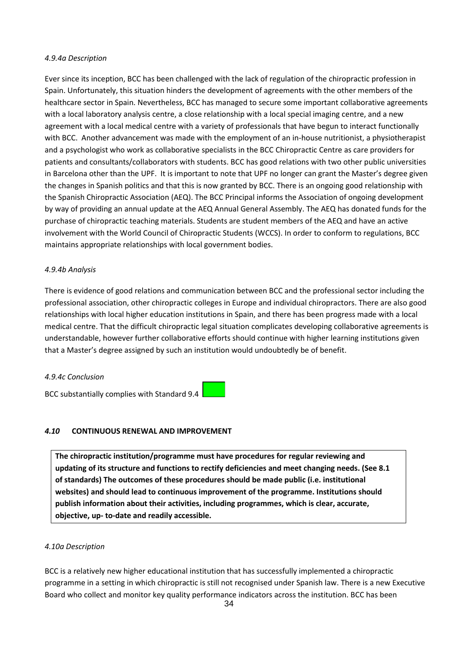### *4.9.4a Description*

Ever since its inception, BCC has been challenged with the lack of regulation of the chiropractic profession in Spain. Unfortunately, this situation hinders the development of agreements with the other members of the healthcare sector in Spain. Nevertheless, BCC has managed to secure some important collaborative agreements with a local laboratory analysis centre, a close relationship with a local special imaging centre, and a new agreement with a local medical centre with a variety of professionals that have begun to interact functionally with BCC. Another advancement was made with the employment of an in-house nutritionist, a physiotherapist and a psychologist who work as collaborative specialists in the BCC Chiropractic Centre as care providers for patients and consultants/collaborators with students. BCC has good relations with two other public universities in Barcelona other than the UPF. It is important to note that UPF no longer can grant the Master's degree given the changes in Spanish politics and that this is now granted by BCC. There is an ongoing good relationship with the Spanish Chiropractic Association (AEQ). The BCC Principal informs the Association of ongoing development by way of providing an annual update at the AEQ Annual General Assembly. The AEQ has donated funds for the purchase of chiropractic teaching materials. Students are student members of the AEQ and have an active involvement with the World Council of Chiropractic Students (WCCS). In order to conform to regulations, BCC maintains appropriate relationships with local government bodies.

### *4.9.4b Analysis*

There is evidence of good relations and communication between BCC and the professional sector including the professional association, other chiropractic colleges in Europe and individual chiropractors. There are also good relationships with local higher education institutions in Spain, and there has been progress made with a local medical centre. That the difficult chiropractic legal situation complicates developing collaborative agreements is understandable, however further collaborative efforts should continue with higher learning institutions given that a Master's degree assigned by such an institution would undoubtedly be of benefit.

### *4.9.4c Conclusion*

BCC substantially complies with Standard 9.4

## *4.10* **CONTINUOUS RENEWAL AND IMPROVEMENT**

**The chiropractic institution/programme must have procedures for regular reviewing and updating of its structure and functions to rectify deficiencies and meet changing needs. (See 8.1 of standards) The outcomes of these procedures should be made public (i.e. institutional websites) and should lead to continuous improvement of the programme. Institutions should publish information about their activities, including programmes, which is clear, accurate, objective, up- to-date and readily accessible.**

## *4.10a Description*

BCC is a relatively new higher educational institution that has successfully implemented a chiropractic programme in a setting in which chiropractic is still not recognised under Spanish law. There is a new Executive Board who collect and monitor key quality performance indicators across the institution. BCC has been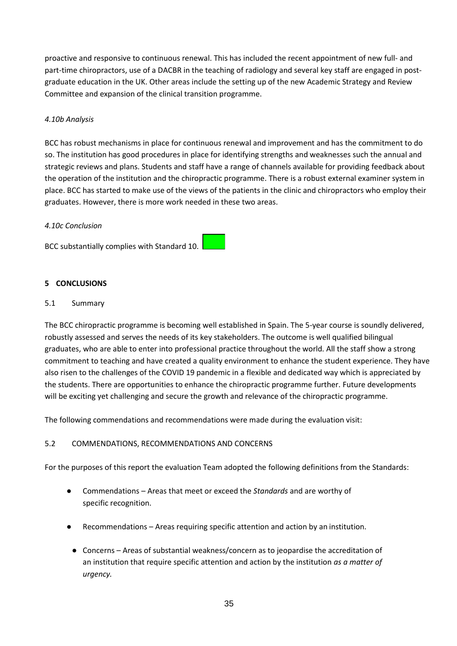proactive and responsive to continuous renewal. This has included the recent appointment of new full- and part-time chiropractors, use of a DACBR in the teaching of radiology and several key staff are engaged in postgraduate education in the UK. Other areas include the setting up of the new Academic Strategy and Review Committee and expansion of the clinical transition programme.

### *4.10b Analysis*

BCC has robust mechanisms in place for continuous renewal and improvement and has the commitment to do so. The institution has good procedures in place for identifying strengths and weaknesses such the annual and strategic reviews and plans. Students and staff have a range of channels available for providing feedback about the operation of the institution and the chiropractic programme. There is a robust external examiner system in place. BCC has started to make use of the views of the patients in the clinic and chiropractors who employ their graduates. However, there is more work needed in these two areas.

### *4.10c Conclusion*

BCC substantially complies with Standard 10.

### **5 CONCLUSIONS**

### 5.1 Summary

The BCC chiropractic programme is becoming well established in Spain. The 5-year course is soundly delivered, robustly assessed and serves the needs of its key stakeholders. The outcome is well qualified bilingual graduates, who are able to enter into professional practice throughout the world. All the staff show a strong commitment to teaching and have created a quality environment to enhance the student experience. They have also risen to the challenges of the COVID 19 pandemic in a flexible and dedicated way which is appreciated by the students. There are opportunities to enhance the chiropractic programme further. Future developments will be exciting yet challenging and secure the growth and relevance of the chiropractic programme.

The following commendations and recommendations were made during the evaluation visit:

### 5.2 COMMENDATIONS, RECOMMENDATIONS AND CONCERNS

For the purposes of this report the evaluation Team adopted the following definitions from the Standards:

- Commendations Areas that meet or exceed the *Standards* and are worthy of specific recognition.
- Recommendations Areas requiring specific attention and action by an institution.
- Concerns Areas of substantial weakness/concern as to jeopardise the accreditation of an institution that require specific attention and action by the institution *as a matter of urgency.*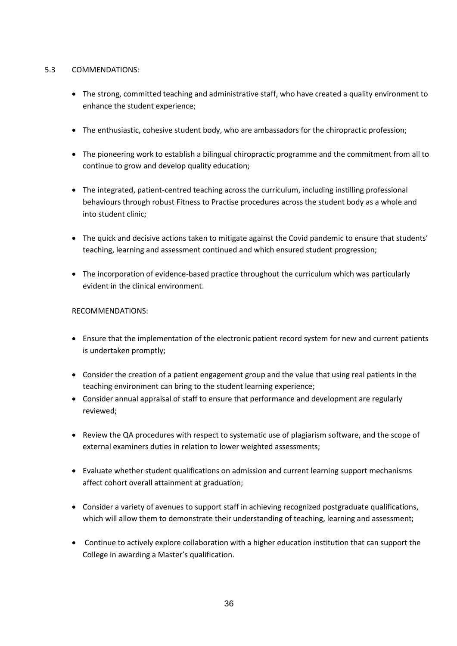## 5.3 COMMENDATIONS:

- The strong, committed teaching and administrative staff, who have created a quality environment to enhance the student experience;
- The enthusiastic, cohesive student body, who are ambassadors for the chiropractic profession;
- The pioneering work to establish a bilingual chiropractic programme and the commitment from all to continue to grow and develop quality education;
- The integrated, patient-centred teaching across the curriculum, including instilling professional behaviours through robust Fitness to Practise procedures across the student body as a whole and into student clinic;
- The quick and decisive actions taken to mitigate against the Covid pandemic to ensure that students' teaching, learning and assessment continued and which ensured student progression;
- The incorporation of evidence-based practice throughout the curriculum which was particularly evident in the clinical environment.

## RECOMMENDATIONS:

- Ensure that the implementation of the electronic patient record system for new and current patients is undertaken promptly;
- Consider the creation of a patient engagement group and the value that using real patients in the teaching environment can bring to the student learning experience;
- Consider annual appraisal of staff to ensure that performance and development are regularly reviewed;
- Review the QA procedures with respect to systematic use of plagiarism software, and the scope of external examiners duties in relation to lower weighted assessments;
- Evaluate whether student qualifications on admission and current learning support mechanisms affect cohort overall attainment at graduation;
- Consider a variety of avenues to support staff in achieving recognized postgraduate qualifications, which will allow them to demonstrate their understanding of teaching, learning and assessment;
- Continue to actively explore collaboration with a higher education institution that can support the College in awarding a Master's qualification.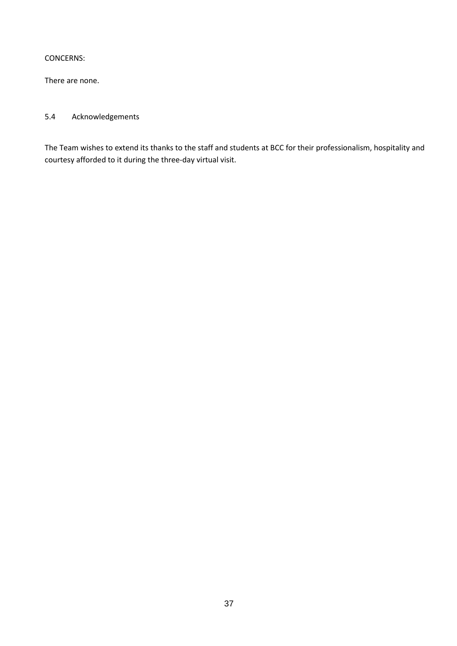### CONCERNS:

There are none.

# 5.4 Acknowledgements

The Team wishes to extend its thanks to the staff and students at BCC for their professionalism, hospitality and courtesy afforded to it during the three-day virtual visit.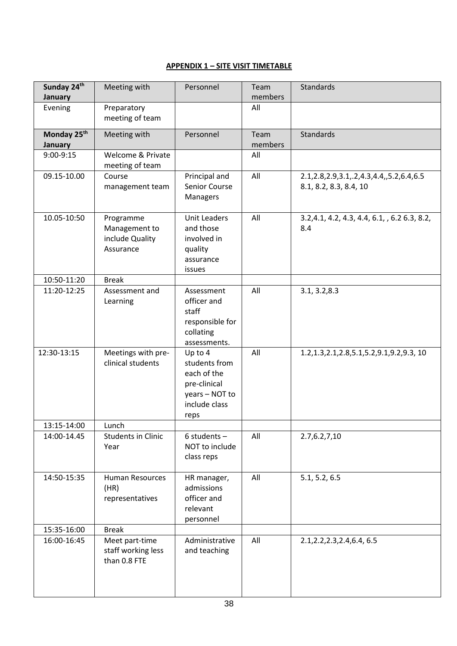## **APPENDIX 1 – SITE VISIT TIMETABLE**

| Sunday 24th<br>January | Meeting with                                               | Personnel                                                                                          | Team<br>members | <b>Standards</b>                                                            |
|------------------------|------------------------------------------------------------|----------------------------------------------------------------------------------------------------|-----------------|-----------------------------------------------------------------------------|
| Evening                | Preparatory<br>meeting of team                             |                                                                                                    | All             |                                                                             |
| Monday 25th<br>January | Meeting with                                               | Personnel                                                                                          | Team<br>members | <b>Standards</b>                                                            |
| 9:00-9:15              | Welcome & Private<br>meeting of team                       |                                                                                                    | All             |                                                                             |
| 09.15-10.00            | Course<br>management team                                  | Principal and<br>Senior Course<br>Managers                                                         | All             | 2.1, 2.8, 2.9, 3.1, .2, 4.3, 4.4, , 5.2, 6.4, 6.5<br>8.1, 8.2, 8.3, 8.4, 10 |
| 10.05-10:50            | Programme<br>Management to<br>include Quality<br>Assurance | <b>Unit Leaders</b><br>and those<br>involved in<br>quality<br>assurance<br><i>issues</i>           | All             | 3.2, 4.1, 4.2, 4.3, 4.4, 6.1, , 6.2 6.3, 8.2,<br>8.4                        |
| 10:50-11:20            | <b>Break</b>                                               |                                                                                                    |                 |                                                                             |
| 11:20-12:25            | Assessment and<br>Learning                                 | Assessment<br>officer and<br>staff<br>responsible for<br>collating<br>assessments.                 | All             | 3.1, 3.2, 8.3                                                               |
| 12:30-13:15            | Meetings with pre-<br>clinical students                    | Up to 4<br>students from<br>each of the<br>pre-clinical<br>years - NOT to<br>include class<br>reps | All             | 1.2, 1.3, 2.1, 2.8, 5.1, 5.2, 9.1, 9.2, 9.3, 10                             |
| 13:15-14:00            | Lunch                                                      |                                                                                                    |                 |                                                                             |
| 14:00-14.45            | <b>Students in Clinic</b><br>Year                          | $6$ students -<br>NOT to include<br>class reps                                                     | All             | 2.7,6.2,7,10                                                                |
| 14:50-15:35            | <b>Human Resources</b><br>(HR)<br>representatives          | HR manager,<br>admissions<br>officer and<br>relevant<br>personnel                                  | All             | 5.1, 5.2, 6.5                                                               |
| 15:35-16:00            | <b>Break</b>                                               |                                                                                                    |                 |                                                                             |
| 16:00-16:45            | Meet part-time<br>staff working less<br>than 0.8 FTE       | Administrative<br>and teaching                                                                     | All             | 2.1, 2.2, 2.3, 2.4, 6.4, 6.5                                                |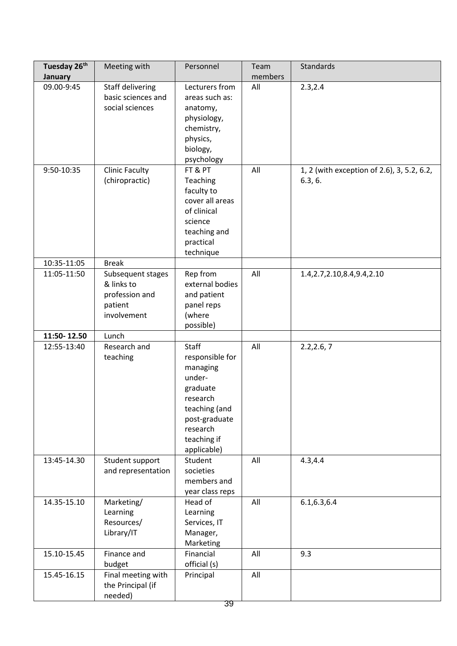| Tuesday 26 <sup>th</sup><br>January | Meeting with                                                                | Personnel                                                                                                                                          | Team<br>members | Standards                                             |
|-------------------------------------|-----------------------------------------------------------------------------|----------------------------------------------------------------------------------------------------------------------------------------------------|-----------------|-------------------------------------------------------|
| 09.00-9:45                          | Staff delivering<br>basic sciences and<br>social sciences                   | Lecturers from<br>areas such as:<br>anatomy,<br>physiology,<br>chemistry,<br>physics,<br>biology,<br>psychology                                    | All             | 2.3,2.4                                               |
| 9:50-10:35                          | <b>Clinic Faculty</b><br>(chiropractic)                                     | FT & PT<br>Teaching<br>faculty to<br>cover all areas<br>of clinical<br>science<br>teaching and<br>practical<br>technique                           | All             | 1, 2 (with exception of 2.6), 3, 5.2, 6.2,<br>6.3, 6. |
| 10:35-11:05                         | <b>Break</b>                                                                |                                                                                                                                                    |                 |                                                       |
| 11:05-11:50                         | Subsequent stages<br>& links to<br>profession and<br>patient<br>involvement | Rep from<br>external bodies<br>and patient<br>panel reps<br>(where<br>possible)                                                                    | All             | 1.4, 2.7, 2.10, 8.4, 9.4, 2.10                        |
| 11:50-12.50                         | Lunch                                                                       |                                                                                                                                                    |                 |                                                       |
| 12:55-13:40                         | Research and<br>teaching                                                    | Staff<br>responsible for<br>managing<br>under-<br>graduate<br>research<br>teaching (and<br>post-graduate<br>research<br>teaching if<br>applicable) | All             | 2.2, 2.6, 7                                           |
| 13:45-14.30                         | Student support<br>and representation                                       | Student<br>societies<br>members and<br>year class reps                                                                                             | All             | 4.3, 4.4                                              |
| 14.35-15.10                         | Marketing/<br>Learning<br>Resources/<br>Library/IT                          | Head of<br>Learning<br>Services, IT<br>Manager,<br>Marketing                                                                                       | All             | 6.1, 6.3, 6.4                                         |
| 15.10-15.45                         | Finance and<br>budget                                                       | Financial<br>official (s)                                                                                                                          | All             | 9.3                                                   |
| 15.45-16.15                         | Final meeting with<br>the Principal (if<br>needed)                          | Principal<br>39                                                                                                                                    | All             |                                                       |